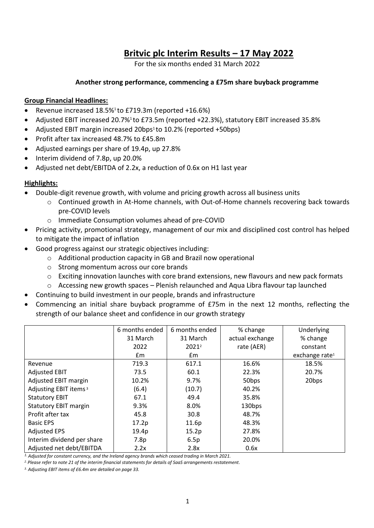# **Britvic plc Interim Results – 17 May 2022**

For the six months ended 31 March 2022

## **Another strong performance, commencing a £75m share buyback programme**

## **Group Financial Headlines:**

- Revenue increased 18.5%<sup>1</sup> to £719.3m (reported +16.6%)
- Adjusted EBIT increased 20.7%<sup>1</sup> to £73.5m (reported +22.3%), statutory EBIT increased 35.8%
- Adjusted EBIT margin increased 20bps<sup>1</sup> to 10.2% (reported +50bps)
- Profit after tax increased 48.7% to £45.8m
- Adjusted earnings per share of 19.4p, up 27.8%
- Interim dividend of 7.8p, up 20.0%
- Adjusted net debt/EBITDA of 2.2x, a reduction of 0.6x on H1 last year

## **Highlights:**

- Double-digit revenue growth, with volume and pricing growth across all business units
	- o Continued growth in At-Home channels, with Out-of-Home channels recovering back towards pre-COVID levels
	- o Immediate Consumption volumes ahead of pre-COVID
- Pricing activity, promotional strategy, management of our mix and disciplined cost control has helped to mitigate the impact of inflation
- Good progress against our strategic objectives including:
	- o Additional production capacity in GB and Brazil now operational
	- o Strong momentum across our core brands
	- $\circ$  Exciting innovation launches with core brand extensions, new flavours and new pack formats
	- $\circ$  Accessing new growth spaces Plenish relaunched and Aqua Libra flavour tap launched
	- Continuing to build investment in our people, brands and infrastructure
- Commencing an initial share buyback programme of £75m in the next 12 months, reflecting the strength of our balance sheet and confidence in our growth strategy

|                                   | 6 months ended | 6 months ended    | % change        | Underlying                 |
|-----------------------------------|----------------|-------------------|-----------------|----------------------------|
|                                   | 31 March       | 31 March          | actual exchange | % change                   |
|                                   | 2022           | 2021 <sup>2</sup> | rate (AER)      | constant                   |
|                                   | Em             | $\mathsf{fm}$     |                 | exchange rate <sup>1</sup> |
| Revenue                           | 719.3          | 617.1             | 16.6%           | 18.5%                      |
| <b>Adjusted EBIT</b>              | 73.5           | 60.1              | 22.3%           | 20.7%                      |
| Adjusted EBIT margin              | 10.2%          | 9.7%              | 50bps           | 20bps                      |
| Adjusting EBIT items <sup>3</sup> | (6.4)          | (10.7)            | 40.2%           |                            |
| <b>Statutory EBIT</b>             | 67.1           | 49.4              | 35.8%           |                            |
| <b>Statutory EBIT margin</b>      | 9.3%           | 8.0%              | 130bps          |                            |
| Profit after tax                  | 45.8           | 30.8              | 48.7%           |                            |
| <b>Basic EPS</b>                  | 17.2p          | 11.6p             | 48.3%           |                            |
| <b>Adjusted EPS</b>               | 19.4p          | 15.2p             | 27.8%           |                            |
| Interim dividend per share        | 7.8p           | 6.5p              | 20.0%           |                            |
| Adjusted net debt/EBITDA          | 2.2x           | 2.8x              | 0.6x            |                            |

*1. Adjusted for constant currency, and the Ireland agency brands which ceased trading in March 2021.*

*2. Please refer to note 21 of the interim financial statements for details of SaaS arrangements restatement.*

*3. Adjusting EBIT items of £6.4m are detailed on page 33.*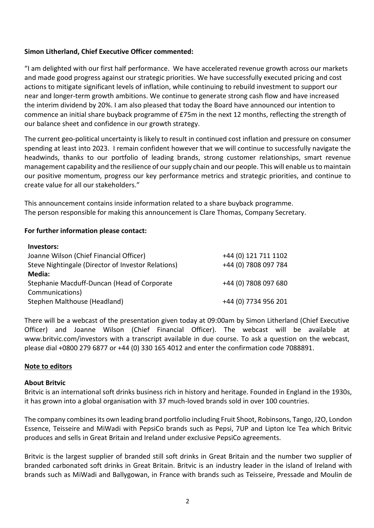## **Simon Litherland, Chief Executive Officer commented:**

"I am delighted with our first half performance. We have accelerated revenue growth across our markets and made good progress against our strategic priorities. We have successfully executed pricing and cost actions to mitigate significant levels of inflation, while continuing to rebuild investment to support our near and longer-term growth ambitions. We continue to generate strong cash flow and have increased the interim dividend by 20%. I am also pleased that today the Board have announced our intention to commence an initial share buyback programme of £75m in the next 12 months, reflecting the strength of our balance sheet and confidence in our growth strategy.

The current geo-political uncertainty is likely to result in continued cost inflation and pressure on consumer spending at least into 2023. I remain confident however that we will continue to successfully navigate the headwinds, thanks to our portfolio of leading brands, strong customer relationships, smart revenue management capability and the resilience of our supply chain and our people. This will enable us to maintain our positive momentum, progress our key performance metrics and strategic priorities, and continue to create value for all our stakeholders."

This announcement contains inside information related to a share buyback programme. The person responsible for making this announcement is Clare Thomas, Company Secretary.

## **For further information please contact:**

| Investors:                                         |                      |
|----------------------------------------------------|----------------------|
| Joanne Wilson (Chief Financial Officer)            | +44 (0) 121 711 1102 |
| Steve Nightingale (Director of Investor Relations) | +44 (0) 7808 097 784 |
| Media:                                             |                      |
| Stephanie Macduff-Duncan (Head of Corporate        | +44 (0) 7808 097 680 |
| Communications)                                    |                      |
| Stephen Malthouse (Headland)                       | +44 (0) 7734 956 201 |

There will be a webcast of the presentation given today at 09:00am by Simon Litherland (Chief Executive Officer) and Joanne Wilson (Chief Financial Officer). The webcast will be available at www.britvic.com/investors with a transcript available in due course. To ask a question on the webcast, please dial +0800 279 6877 or +44 (0) 330 165 4012 and enter the confirmation code 7088891.

## **Note to editors**

### **About Britvic**

Britvic is an international soft drinks business rich in history and heritage. Founded in England in the 1930s, it has grown into a global organisation with 37 much-loved brands sold in over 100 countries.

The company combines its own leading brand portfolio including Fruit Shoot, Robinsons, Tango, J2O, London Essence, Teisseire and MiWadi with PepsiCo brands such as Pepsi, 7UP and Lipton Ice Tea which Britvic produces and sells in Great Britain and Ireland under exclusive PepsiCo agreements.

Britvic is the largest supplier of branded still soft drinks in Great Britain and the number two supplier of branded carbonated soft drinks in Great Britain. Britvic is an industry leader in the island of Ireland with brands such as MiWadi and Ballygowan, in France with brands such as Teisseire, Pressade and Moulin de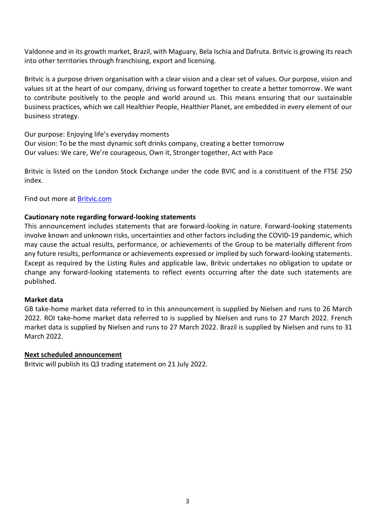Valdonne and in its growth market, Brazil, with Maguary, Bela Ischia and Dafruta. Britvic is growing its reach into other territories through franchising, export and licensing.

Britvic is a purpose driven organisation with a clear vision and a clear set of values. Our purpose, vision and values sit at the heart of our company, driving us forward together to create a better tomorrow. We want to contribute positively to the people and world around us. This means ensuring that our sustainable business practices, which we call Healthier People, Healthier Planet, are embedded in every element of our business strategy.

Our purpose: Enjoying life's everyday moments Our vision: To be the most dynamic soft drinks company, creating a better tomorrow Our values: We care, We're courageous, Own it, Stronger together, Act with Pace

Britvic is listed on the London Stock Exchange under the code BVIC and is a constituent of the FTSE 250 index.

Find out more at [Britvic.com](https://www.britvic.com/)

## **Cautionary note regarding forward-looking statements**

This announcement includes statements that are forward-looking in nature. Forward-looking statements involve known and unknown risks, uncertainties and other factors including the COVID-19 pandemic, which may cause the actual results, performance, or achievements of the Group to be materially different from any future results, performance or achievements expressed or implied by such forward-looking statements. Except as required by the Listing Rules and applicable law, Britvic undertakes no obligation to update or change any forward-looking statements to reflect events occurring after the date such statements are published.

## **Market data**

GB take-home market data referred to in this announcement is supplied by Nielsen and runs to 26 March 2022. ROI take-home market data referred to is supplied by Nielsen and runs to 27 March 2022. French market data is supplied by Nielsen and runs to 27 March 2022. Brazil is supplied by Nielsen and runs to 31 March 2022.

## **Next scheduled announcement**

Britvic will publish its Q3 trading statement on 21 July 2022.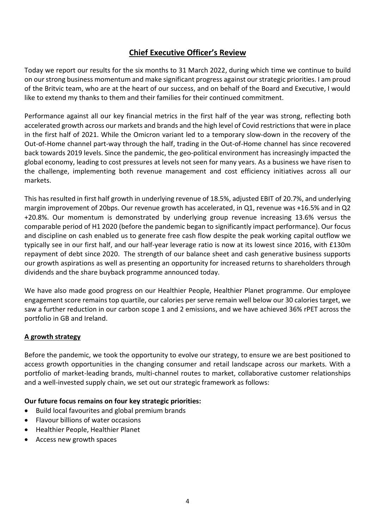## **Chief Executive Officer's Review**

Today we report our results for the six months to 31 March 2022, during which time we continue to build on our strong business momentum and make significant progress against our strategic priorities. I am proud of the Britvic team, who are at the heart of our success, and on behalf of the Board and Executive, I would like to extend my thanks to them and their families for their continued commitment.

Performance against all our key financial metrics in the first half of the year was strong, reflecting both accelerated growth across our markets and brands and the high level of Covid restrictions that were in place in the first half of 2021. While the Omicron variant led to a temporary slow-down in the recovery of the Out-of-Home channel part-way through the half, trading in the Out-of-Home channel has since recovered back towards 2019 levels. Since the pandemic, the geo-political environment has increasingly impacted the global economy, leading to cost pressures at levels not seen for many years. As a business we have risen to the challenge, implementing both revenue management and cost efficiency initiatives across all our markets.

This has resulted in first half growth in underlying revenue of 18.5%, adjusted EBIT of 20.7%, and underlying margin improvement of 20bps. Our revenue growth has accelerated, in Q1, revenue was +16.5% and in Q2 +20.8%. Our momentum is demonstrated by underlying group revenue increasing 13.6% versus the comparable period of H1 2020 (before the pandemic began to significantly impact performance). Our focus and discipline on cash enabled us to generate free cash flow despite the peak working capital outflow we typically see in our first half, and our half-year leverage ratio is now at its lowest since 2016, with £130m repayment of debt since 2020. The strength of our balance sheet and cash generative business supports our growth aspirations as well as presenting an opportunity for increased returns to shareholders through dividends and the share buyback programme announced today.

We have also made good progress on our Healthier People, Healthier Planet programme. Our employee engagement score remains top quartile, our calories per serve remain well below our 30 calories target, we saw a further reduction in our carbon scope 1 and 2 emissions, and we have achieved 36% rPET across the portfolio in GB and Ireland.

## **A growth strategy**

Before the pandemic, we took the opportunity to evolve our strategy, to ensure we are best positioned to access growth opportunities in the changing consumer and retail landscape across our markets. With a portfolio of market-leading brands, multi-channel routes to market, collaborative customer relationships and a well-invested supply chain, we set out our strategic framework as follows:

## **Our future focus remains on four key strategic priorities:**

- Build local favourites and global premium brands
- Flavour billions of water occasions
- Healthier People, Healthier Planet
- Access new growth spaces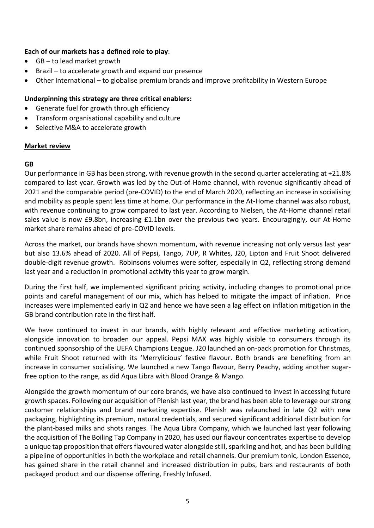## **Each of our markets has a defined role to play**:

- GB to lead market growth
- Brazil to accelerate growth and expand our presence
- Other International to globalise premium brands and improve profitability in Western Europe

## **Underpinning this strategy are three critical enablers:**

- Generate fuel for growth through efficiency
- Transform organisational capability and culture
- Selective M&A to accelerate growth

## **Market review**

## **GB**

Our performance in GB has been strong, with revenue growth in the second quarter accelerating at +21.8% compared to last year. Growth was led by the Out-of-Home channel, with revenue significantly ahead of 2021 and the comparable period (pre-COVID) to the end of March 2020, reflecting an increase in socialising and mobility as people spent less time at home. Our performance in the At-Home channel was also robust, with revenue continuing to grow compared to last year. According to Nielsen, the At-Home channel retail sales value is now £9.8bn, increasing £1.1bn over the previous two years. Encouragingly, our At-Home market share remains ahead of pre-COVID levels.

Across the market, our brands have shown momentum, with revenue increasing not only versus last year but also 13.6% ahead of 2020. All of Pepsi, Tango, 7UP, R Whites, J20, Lipton and Fruit Shoot delivered double-digit revenue growth. Robinsons volumes were softer, especially in Q2, reflecting strong demand last year and a reduction in promotional activity this year to grow margin.

During the first half, we implemented significant pricing activity, including changes to promotional price points and careful management of our mix, which has helped to mitigate the impact of inflation. Price increases were implemented early in Q2 and hence we have seen a lag effect on inflation mitigation in the GB brand contribution rate in the first half.

We have continued to invest in our brands, with highly relevant and effective marketing activation, alongside innovation to broaden our appeal. Pepsi MAX was highly visible to consumers through its continued sponsorship of the UEFA Champions League. J20 launched an on-pack promotion for Christmas, while Fruit Shoot returned with its 'Merrylicious' festive flavour. Both brands are benefiting from an increase in consumer socialising. We launched a new Tango flavour, Berry Peachy, adding another sugarfree option to the range, as did Aqua Libra with Blood Orange & Mango.

Alongside the growth momentum of our core brands, we have also continued to invest in accessing future growth spaces. Following our acquisition of Plenish last year, the brand has been able to leverage our strong customer relationships and brand marketing expertise. Plenish was relaunched in late Q2 with new packaging, highlighting its premium, natural credentials, and secured significant additional distribution for the plant-based milks and shots ranges. The Aqua Libra Company, which we launched last year following the acquisition of The Boiling Tap Company in 2020, has used our flavour concentrates expertise to develop a unique tap proposition that offers flavoured water alongside still, sparkling and hot, and has been building a pipeline of opportunities in both the workplace and retail channels. Our premium tonic, London Essence, has gained share in the retail channel and increased distribution in pubs, bars and restaurants of both packaged product and our dispense offering, Freshly Infused.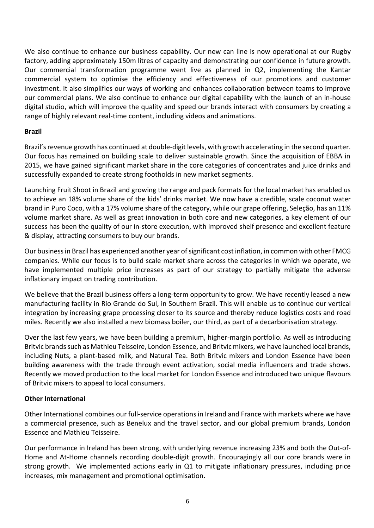We also continue to enhance our business capability. Our new can line is now operational at our Rugby factory, adding approximately 150m litres of capacity and demonstrating our confidence in future growth. Our commercial transformation programme went live as planned in Q2, implementing the Kantar commercial system to optimise the efficiency and effectiveness of our promotions and customer investment. It also simplifies our ways of working and enhances collaboration between teams to improve our commercial plans. We also continue to enhance our digital capability with the launch of an in-house digital studio, which will improve the quality and speed our brands interact with consumers by creating a range of highly relevant real-time content, including videos and animations.

## **Brazil**

Brazil's revenue growth has continued at double-digit levels, with growth accelerating in the second quarter. Our focus has remained on building scale to deliver sustainable growth. Since the acquisition of EBBA in 2015, we have gained significant market share in the core categories of concentrates and juice drinks and successfully expanded to create strong footholds in new market segments.

Launching Fruit Shoot in Brazil and growing the range and pack formats for the local market has enabled us to achieve an 18% volume share of the kids' drinks market. We now have a credible, scale coconut water brand in Puro Coco, with a 17% volume share of the category, while our grape offering, Seleção, has an 11% volume market share. As well as great innovation in both core and new categories, a key element of our success has been the quality of our in-store execution, with improved shelf presence and excellent feature & display, attracting consumers to buy our brands.

Our business in Brazil has experienced another year of significant cost inflation, in common with other FMCG companies. While our focus is to build scale market share across the categories in which we operate, we have implemented multiple price increases as part of our strategy to partially mitigate the adverse inflationary impact on trading contribution.

We believe that the Brazil business offers a long-term opportunity to grow. We have recently leased a new manufacturing facility in Rio Grande do Sul, in Southern Brazil. This will enable us to continue our vertical integration by increasing grape processing closer to its source and thereby reduce logistics costs and road miles. Recently we also installed a new biomass boiler, our third, as part of a decarbonisation strategy.

Over the last few years, we have been building a premium, higher-margin portfolio. As well as introducing Britvic brands such as Mathieu Teisseire, London Essence, and Britvic mixers, we have launched local brands, including Nuts, a plant-based milk, and Natural Tea. Both Britvic mixers and London Essence have been building awareness with the trade through event activation, social media influencers and trade shows. Recently we moved production to the local market for London Essence and introduced two unique flavours of Britvic mixers to appeal to local consumers.

## **Other International**

Other International combines our full-service operations in Ireland and France with markets where we have a commercial presence, such as Benelux and the travel sector, and our global premium brands, London Essence and Mathieu Teisseire.

Our performance in Ireland has been strong, with underlying revenue increasing 23% and both the Out-of-Home and At-Home channels recording double-digit growth. Encouragingly all our core brands were in strong growth. We implemented actions early in Q1 to mitigate inflationary pressures, including price increases, mix management and promotional optimisation.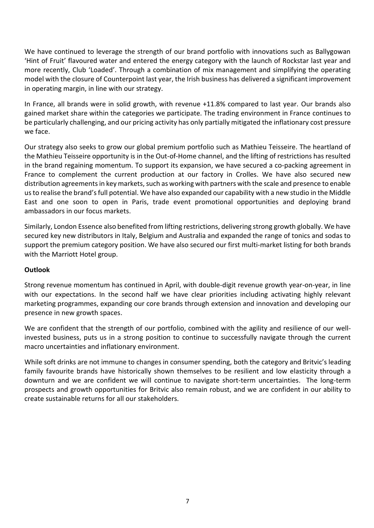We have continued to leverage the strength of our brand portfolio with innovations such as Ballygowan 'Hint of Fruit' flavoured water and entered the energy category with the launch of Rockstar last year and more recently, Club 'Loaded'. Through a combination of mix management and simplifying the operating model with the closure of Counterpoint last year, the Irish business has delivered a significant improvement in operating margin, in line with our strategy.

In France, all brands were in solid growth, with revenue +11.8% compared to last year. Our brands also gained market share within the categories we participate. The trading environment in France continues to be particularly challenging, and our pricing activity has only partially mitigated the inflationary cost pressure we face.

Our strategy also seeks to grow our global premium portfolio such as Mathieu Teisseire. The heartland of the Mathieu Teisseire opportunity is in the Out-of-Home channel, and the lifting of restrictions has resulted in the brand regaining momentum. To support its expansion, we have secured a co-packing agreement in France to complement the current production at our factory in Crolles. We have also secured new distribution agreements in key markets, such as working with partners with the scale and presence to enable us to realise the brand's full potential. We have also expanded our capability with a new studio in the Middle East and one soon to open in Paris, trade event promotional opportunities and deploying brand ambassadors in our focus markets.

Similarly, London Essence also benefited from lifting restrictions, delivering strong growth globally. We have secured key new distributors in Italy, Belgium and Australia and expanded the range of tonics and sodas to support the premium category position. We have also secured our first multi-market listing for both brands with the Marriott Hotel group.

## **Outlook**

Strong revenue momentum has continued in April, with double-digit revenue growth year-on-year, in line with our expectations. In the second half we have clear priorities including activating highly relevant marketing programmes, expanding our core brands through extension and innovation and developing our presence in new growth spaces.

We are confident that the strength of our portfolio, combined with the agility and resilience of our wellinvested business, puts us in a strong position to continue to successfully navigate through the current macro uncertainties and inflationary environment.

While soft drinks are not immune to changes in consumer spending, both the category and Britvic's leading family favourite brands have historically shown themselves to be resilient and low elasticity through a downturn and we are confident we will continue to navigate short-term uncertainties. The long-term prospects and growth opportunities for Britvic also remain robust, and we are confident in our ability to create sustainable returns for all our stakeholders.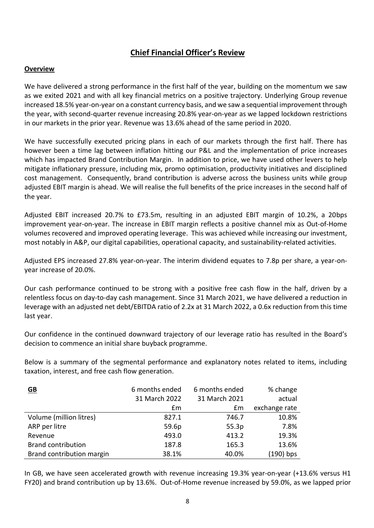## **Chief Financial Officer's Review**

## **Overview**

We have delivered a strong performance in the first half of the year, building on the momentum we saw as we exited 2021 and with all key financial metrics on a positive trajectory. Underlying Group revenue increased 18.5% year-on-year on a constant currency basis, and we saw a sequential improvement through the year, with second-quarter revenue increasing 20.8% year-on-year as we lapped lockdown restrictions in our markets in the prior year. Revenue was 13.6% ahead of the same period in 2020.

We have successfully executed pricing plans in each of our markets through the first half. There has however been a time lag between inflation hitting our P&L and the implementation of price increases which has impacted Brand Contribution Margin. In addition to price, we have used other levers to help mitigate inflationary pressure, including mix, promo optimisation, productivity initiatives and disciplined cost management. Consequently, brand contribution is adverse across the business units while group adjusted EBIT margin is ahead. We will realise the full benefits of the price increases in the second half of the year.

Adjusted EBIT increased 20.7% to £73.5m, resulting in an adjusted EBIT margin of 10.2%, a 20bps improvement year-on-year. The increase in EBIT margin reflects a positive channel mix as Out-of-Home volumes recovered and improved operating leverage. This was achieved while increasing our investment, most notably in A&P, our digital capabilities, operational capacity, and sustainability-related activities.

Adjusted EPS increased 27.8% year-on-year. The interim dividend equates to 7.8p per share, a year-onyear increase of 20.0%.

Our cash performance continued to be strong with a positive free cash flow in the half, driven by a relentless focus on day-to-day cash management. Since 31 March 2021, we have delivered a reduction in leverage with an adjusted net debt/EBITDA ratio of 2.2x at 31 March 2022, a 0.6x reduction from this time last year.

Our confidence in the continued downward trajectory of our leverage ratio has resulted in the Board's decision to commence an initial share buyback programme.

Below is a summary of the segmental performance and explanatory notes related to items, including taxation, interest, and free cash flow generation.

| $\underline{\mathsf{GB}}$ | 6 months ended<br>31 March 2022 | 6 months ended<br>31 March 2021 | % change<br>actual |
|---------------------------|---------------------------------|---------------------------------|--------------------|
|                           | £m                              | £m                              | exchange rate      |
| Volume (million litres)   | 827.1                           | 746.7                           | 10.8%              |
| ARP per litre             | 59.6p                           | 55.3p                           | 7.8%               |
| Revenue                   | 493.0                           | 413.2                           | 19.3%              |
| <b>Brand contribution</b> | 187.8                           | 165.3                           | 13.6%              |
| Brand contribution margin | 38.1%                           | 40.0%                           | (190) bps          |

In GB, we have seen accelerated growth with revenue increasing 19.3% year-on-year (+13.6% versus H1 FY20) and brand contribution up by 13.6%. Out-of-Home revenue increased by 59.0%, as we lapped prior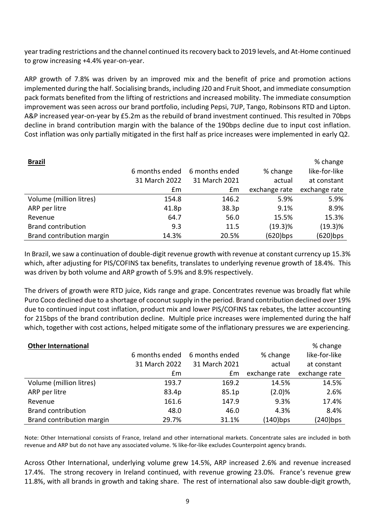year trading restrictions and the channel continued its recovery back to 2019 levels, and At-Home continued to grow increasing +4.4% year-on-year.

ARP growth of 7.8% was driven by an improved mix and the benefit of price and promotion actions implemented during the half. Socialising brands, including J20 and Fruit Shoot, and immediate consumption pack formats benefited from the lifting of restrictions and increased mobility. The immediate consumption improvement was seen across our brand portfolio, including Pepsi, 7UP, Tango, Robinsons RTD and Lipton. A&P increased year-on-year by £5.2m as the rebuild of brand investment continued. This resulted in 70bps decline in brand contribution margin with the balance of the 190bps decline due to input cost inflation. Cost inflation was only partially mitigated in the first half as price increases were implemented in early Q2.

| <b>Brazil</b>             |                |                |               | % change      |
|---------------------------|----------------|----------------|---------------|---------------|
|                           | 6 months ended | 6 months ended | % change      | like-for-like |
|                           | 31 March 2022  | 31 March 2021  | actual        | at constant   |
|                           | £m             | £m             | exchange rate | exchange rate |
| Volume (million litres)   | 154.8          | 146.2          | 5.9%          | 5.9%          |
| ARP per litre             | 41.8p          | 38.3p          | 9.1%          | 8.9%          |
| Revenue                   | 64.7           | 56.0           | 15.5%         | 15.3%         |
| <b>Brand contribution</b> | 9.3            | 11.5           | $(19.3)\%$    | (19.3)%       |
| Brand contribution margin | 14.3%          | 20.5%          | $(620)$ bps   | $(620)$ bps   |

In Brazil, we saw a continuation of double-digit revenue growth with revenue at constant currency up 15.3% which, after adjusting for PIS/COFINS tax benefits, translates to underlying revenue growth of 18.4%. This was driven by both volume and ARP growth of 5.9% and 8.9% respectively.

The drivers of growth were RTD juice, Kids range and grape. Concentrates revenue was broadly flat while Puro Coco declined due to a shortage of coconut supply in the period. Brand contribution declined over 19% due to continued input cost inflation, product mix and lower PIS/COFINS tax rebates, the latter accounting for 215bps of the brand contribution decline. Multiple price increases were implemented during the half which, together with cost actions, helped mitigate some of the inflationary pressures we are experiencing.

| <b>Other International</b> |                |                |               | % change      |
|----------------------------|----------------|----------------|---------------|---------------|
|                            | 6 months ended | 6 months ended | % change      | like-for-like |
|                            | 31 March 2022  | 31 March 2021  | actual        | at constant   |
|                            | £m             | £m             | exchange rate | exchange rate |
| Volume (million litres)    | 193.7          | 169.2          | 14.5%         | 14.5%         |
| ARP per litre              | 83.4p          | 85.1p          | (2.0)%        | 2.6%          |
| Revenue                    | 161.6          | 147.9          | 9.3%          | 17.4%         |
| <b>Brand contribution</b>  | 48.0           | 46.0           | 4.3%          | 8.4%          |
| Brand contribution margin  | 29.7%          | 31.1%          | $(140)$ bps   | $(240)$ bps   |

Note: Other International consists of France, Ireland and other international markets. Concentrate sales are included in both revenue and ARP but do not have any associated volume. % like-for-like excludes Counterpoint agency brands.

Across Other International, underlying volume grew 14.5%, ARP increased 2.6% and revenue increased 17.4%. The strong recovery in Ireland continued, with revenue growing 23.0%. France's revenue grew 11.8%, with all brands in growth and taking share. The rest of international also saw double-digit growth,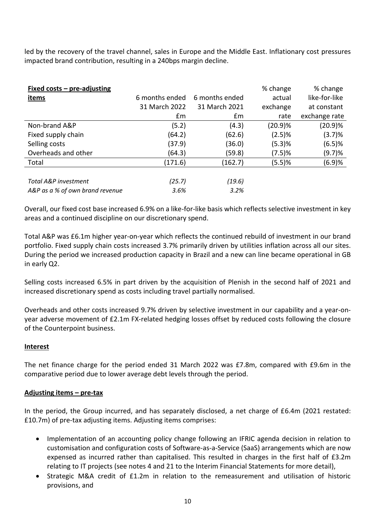led by the recovery of the travel channel, sales in Europe and the Middle East. Inflationary cost pressures impacted brand contribution, resulting in a 240bps margin decline.

| Fixed $costs - pre-adjusting$   |                |                | % change   | % change      |
|---------------------------------|----------------|----------------|------------|---------------|
| <u>items</u>                    | 6 months ended | 6 months ended | actual     | like-for-like |
|                                 | 31 March 2022  | 31 March 2021  | exchange   | at constant   |
|                                 | Em             | £m             | rate       | exchange rate |
| Non-brand A&P                   | (5.2)          | (4.3)          | $(20.9)\%$ | (20.9)%       |
| Fixed supply chain              | (64.2)         | (62.6)         | (2.5)%     | (3.7)%        |
| Selling costs                   | (37.9)         | (36.0)         | (5.3)%     | (6.5)%        |
| Overheads and other             | (64.3)         | (59.8)         | (7.5)%     | (9.7)%        |
| Total                           | (171.6)        | (162.7)        | (5.5)%     | (6.9)%        |
|                                 |                |                |            |               |
| Total A&P investment            | (25.7)         | (19.6)         |            |               |
| A&P as a % of own brand revenue | 3.6%           | 3.2%           |            |               |

Overall, our fixed cost base increased 6.9% on a like-for-like basis which reflects selective investment in key areas and a continued discipline on our discretionary spend.

Total A&P was £6.1m higher year-on-year which reflects the continued rebuild of investment in our brand portfolio. Fixed supply chain costs increased 3.7% primarily driven by utilities inflation across all our sites. During the period we increased production capacity in Brazil and a new can line became operational in GB in early Q2.

Selling costs increased 6.5% in part driven by the acquisition of Plenish in the second half of 2021 and increased discretionary spend as costs including travel partially normalised.

Overheads and other costs increased 9.7% driven by selective investment in our capability and a year-onyear adverse movement of £2.1m FX-related hedging losses offset by reduced costs following the closure of the Counterpoint business.

## **Interest**

The net finance charge for the period ended 31 March 2022 was £7.8m, compared with £9.6m in the comparative period due to lower average debt levels through the period.

## **Adjusting items – pre-tax**

In the period, the Group incurred, and has separately disclosed, a net charge of £6.4m (2021 restated: £10.7m) of pre-tax adjusting items. Adjusting items comprises:

- Implementation of an accounting policy change following an IFRIC agenda decision in relation to customisation and configuration costs of Software-as-a-Service (SaaS) arrangements which are now expensed as incurred rather than capitalised. This resulted in charges in the first half of £3.2m relating to IT projects (see notes 4 and 21 to the Interim Financial Statements for more detail),
- Strategic M&A credit of £1.2m in relation to the remeasurement and utilisation of historic provisions, and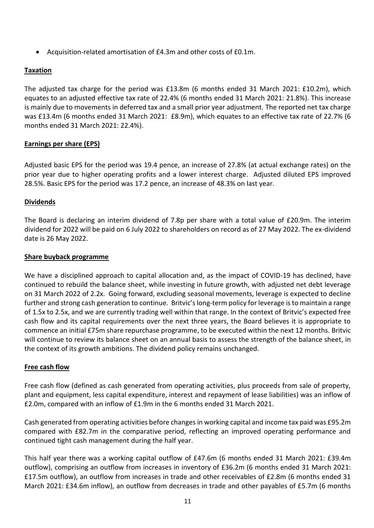• Acquisition-related amortisation of £4.3m and other costs of £0.1m.

## **Taxation**

The adjusted tax charge for the period was £13.8m (6 months ended 31 March 2021: £10.2m), which equates to an adjusted effective tax rate of 22.4% (6 months ended 31 March 2021: 21.8%). This increase is mainly due to movements in deferred tax and a small prior year adjustment. The reported net tax charge was £13.4m (6 months ended 31 March 2021: £8.9m), which equates to an effective tax rate of 22.7% (6 months ended 31 March 2021: 22.4%).

## **Earnings per share (EPS)**

Adjusted basic EPS for the period was 19.4 pence, an increase of 27.8% (at actual exchange rates) on the prior year due to higher operating profits and a lower interest charge. Adjusted diluted EPS improved 28.5%. Basic EPS for the period was 17.2 pence, an increase of 48.3% on last year.

## **Dividends**

The Board is declaring an interim dividend of 7.8p per share with a total value of £20.9m. The interim dividend for 2022 will be paid on 6 July 2022 to shareholders on record as of 27 May 2022. The ex-dividend date is 26 May 2022.

## **Share buyback programme**

We have a disciplined approach to capital allocation and, as the impact of COVID-19 has declined, have continued to rebuild the balance sheet, while investing in future growth, with adjusted net debt leverage on 31 March 2022 of 2.2x. Going forward, excluding seasonal movements, leverage is expected to decline further and strong cash generation to continue. Britvic's long-term policy for leverage is to maintain a range of 1.5x to 2.5x, and we are currently trading well within that range. In the context of Britvic's expected free cash flow and its capital requirements over the next three years, the Board believes it is appropriate to commence an initial £75m share repurchase programme, to be executed within the next 12 months. Britvic will continue to review its balance sheet on an annual basis to assess the strength of the balance sheet, in the context of its growth ambitions. The dividend policy remains unchanged.

## **Free cash flow**

Free cash flow (defined as cash generated from operating activities, plus proceeds from sale of property, plant and equipment, less capital expenditure, interest and repayment of lease liabilities) was an inflow of £2.0m, compared with an inflow of £1.9m in the 6 months ended 31 March 2021.

Cash generated from operating activities before changes in working capital and income tax paid was £95.2m compared with £82.7m in the comparative period, reflecting an improved operating performance and continued tight cash management during the half year.

This half year there was a working capital outflow of £47.6m (6 months ended 31 March 2021: £39.4m outflow), comprising an outflow from increases in inventory of £36.2m (6 months ended 31 March 2021: £17.5m outflow), an outflow from increases in trade and other receivables of £2.8m (6 months ended 31 March 2021: £34.6m inflow), an outflow from decreases in trade and other payables of £5.7m (6 months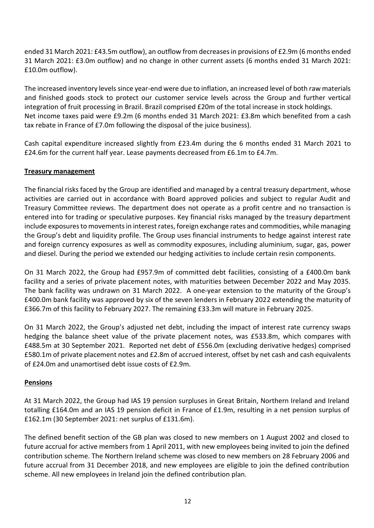ended 31 March 2021: £43.5m outflow), an outflow from decreases in provisions of £2.9m (6 months ended 31 March 2021: £3.0m outflow) and no change in other current assets (6 months ended 31 March 2021: £10.0m outflow).

The increased inventory levels since year-end were due to inflation, an increased level of both raw materials and finished goods stock to protect our customer service levels across the Group and further vertical integration of fruit processing in Brazil. Brazil comprised £20m of the total increase in stock holdings. Net income taxes paid were £9.2m (6 months ended 31 March 2021: £3.8m which benefited from a cash tax rebate in France of £7.0m following the disposal of the juice business).

Cash capital expenditure increased slightly from £23.4m during the 6 months ended 31 March 2021 to £24.6m for the current half year. Lease payments decreased from £6.1m to £4.7m.

## **Treasury management**

The financial risks faced by the Group are identified and managed by a central treasury department, whose activities are carried out in accordance with Board approved policies and subject to regular Audit and Treasury Committee reviews. The department does not operate as a profit centre and no transaction is entered into for trading or speculative purposes. Key financial risks managed by the treasury department include exposures to movements in interest rates, foreign exchange rates and commodities, while managing the Group's debt and liquidity profile. The Group uses financial instruments to hedge against interest rate and foreign currency exposures as well as commodity exposures, including aluminium, sugar, gas, power and diesel. During the period we extended our hedging activities to include certain resin components.

On 31 March 2022, the Group had £957.9m of committed debt facilities, consisting of a £400.0m bank facility and a series of private placement notes, with maturities between December 2022 and May 2035. The bank facility was undrawn on 31 March 2022. A one-year extension to the maturity of the Group's £400.0m bank facility was approved by six of the seven lenders in February 2022 extending the maturity of £366.7m of this facility to February 2027. The remaining £33.3m will mature in February 2025.

On 31 March 2022, the Group's adjusted net debt, including the impact of interest rate currency swaps hedging the balance sheet value of the private placement notes, was £533.8m, which compares with £488.5m at 30 September 2021. Reported net debt of £556.0m (excluding derivative hedges) comprised £580.1m of private placement notes and £2.8m of accrued interest, offset by net cash and cash equivalents of £24.0m and unamortised debt issue costs of £2.9m.

## **Pensions**

At 31 March 2022, the Group had IAS 19 pension surpluses in Great Britain, Northern Ireland and Ireland totalling £164.0m and an IAS 19 pension deficit in France of £1.9m, resulting in a net pension surplus of £162.1m (30 September 2021: net surplus of £131.6m).

The defined benefit section of the GB plan was closed to new members on 1 August 2002 and closed to future accrual for active members from 1 April 2011, with new employees being invited to join the defined contribution scheme. The Northern Ireland scheme was closed to new members on 28 February 2006 and future accrual from 31 December 2018, and new employees are eligible to join the defined contribution scheme. All new employees in Ireland join the defined contribution plan.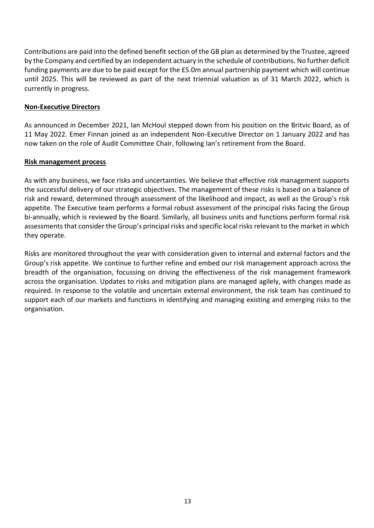Contributions are paid into the defined benefit section of the GB plan as determined by the Trustee, agreed by the Company and certified by an independent actuary in the schedule of contributions. No further deficit funding payments are due to be paid except for the £5.0m annual partnership payment which will continue until 2025. This will be reviewed as part of the next triennial valuation as of 31 March 2022, which is currently in progress.

## **Non-Executive Directors**

As announced in December 2021, Ian McHoul stepped down from his position on the Britvic Board, as of 11 May 2022. Emer Finnan joined as an independent Non-Executive Director on 1 January 2022 and has now taken on the role of Audit Committee Chair, following Ian's retirement from the Board.

## **Risk management process**

As with any business, we face risks and uncertainties. We believe that effective risk management supports the successful delivery of our strategic objectives. The management of these risks is based on a balance of risk and reward, determined through assessment of the likelihood and impact, as well as the Group's risk appetite. The Executive team performs a formal robust assessment of the principal risks facing the Group bi-annually, which is reviewed by the Board. Similarly, all business units and functions perform formal risk assessments that consider the Group's principal risks and specific local risks relevant to the market in which they operate.

Risks are monitored throughout the year with consideration given to internal and external factors and the Group's risk appetite. We continue to further refine and embed our risk management approach across the breadth of the organisation, focussing on driving the effectiveness of the risk management framework across the organisation. Updates to risks and mitigation plans are managed agilely, with changes made as required. In response to the volatile and uncertain external environment, the risk team has continued to support each of our markets and functions in identifying and managing existing and emerging risks to the organisation.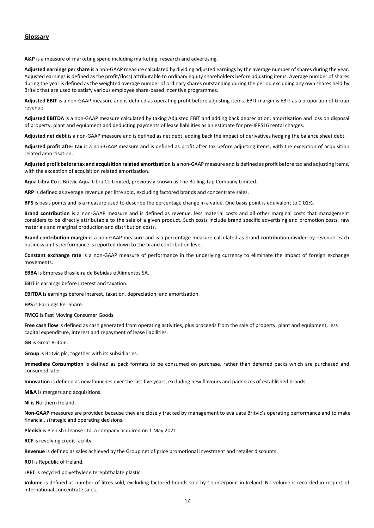### **Glossary**

**A&P** is a measure of marketing spend including marketing, research and advertising.

**Adjusted earnings per share** is a non-GAAP measure calculated by dividing adjusted earnings by the average number of shares during the year. Adjusted earnings is defined as the profit/(loss) attributable to ordinary equity shareholders before adjusting items. Average number of shares during the year is defined as the weighted average number of ordinary shares outstanding during the period excluding any own shares held by Britvic that are used to satisfy various employee share-based incentive programmes.

**Adjusted EBIT** is a non-GAAP measure and is defined as operating profit before adjusting items. EBIT margin is EBIT as a proportion of Group revenue.

**Adjusted EBITDA** is a non-GAAP measure calculated by taking Adjusted EBIT and adding back depreciation, amortisation and loss on disposal of property, plant and equipment and deducting payments of lease liabilities as an estimate for pre-IFRS16 rental charges.

**Adjusted net debt** is a non-GAAP measure and is defined as net debt, adding back the impact of derivatives hedging the balance sheet debt.

**Adjusted profit after tax** is a non-GAAP measure and is defined as profit after tax before adjusting items, with the exception of acquisition related amortisation.

**Adjusted profit before tax and acquisition related amortisation** is a non-GAAP measure and is defined as profit before tax and adjusting items, with the exception of acquisition related amortisation.

**Aqua Libra Co** is Britvic Aqua Libra Co Limited, previously known as The Boiling Tap Company Limited.

**ARP** is defined as average revenue per litre sold, excluding factored brands and concentrate sales.

**BPS** is basis points and is a measure used to describe the percentage change in a value. One basis point is equivalent to 0.01%.

**Brand contribution** is a non-GAAP measure and is defined as revenue, less material costs and all other marginal costs that management considers to be directly attributable to the sale of a given product. Such costs include brand specific advertising and promotion costs, raw materials and marginal production and distribution costs.

**Brand contribution margin** is a non-GAAP measure and is a percentage measure calculated as brand contribution divided by revenue. Each business unit's performance is reported down to the brand contribution level.

**Constant exchange rate** is a non-GAAP measure of performance in the underlying currency to eliminate the impact of foreign exchange movements.

**EBBA** is Empresa Brasileira de Bebidas e Alimentos SA.

**EBIT** is earnings before interest and taxation.

**EBITDA** is earnings before interest, taxation, depreciation, and amortisation.

**EPS** is Earnings Per Share.

**FMCG** is Fast Moving Consumer Goods.

Free cash flow is defined as cash generated from operating activities, plus proceeds from the sale of property, plant and equipment, less capital expenditure, interest and repayment of lease liabilities.

**GB** is Great Britain.

**Group** is Britvic plc, together with its subsidiaries.

**Immediate Consumption** is defined as pack formats to be consumed on purchase, rather than deferred packs which are purchased and consumed later.

**Innovation** is defined as new launches over the last five years, excluding new flavours and pack sizes of established brands.

**M&A** is mergers and acquisitions.

**NI** is Northern Ireland.

**Non-GAAP** measures are provided because they are closely tracked by management to evaluate Britvic's operating performance and to make financial, strategic and operating decisions.

**Plenish** is Plenish Cleanse Ltd, a company acquired on 1 May 2021.

**RCF** is revolving credit facility.

**Revenue** is defined as sales achieved by the Group net of price promotional investment and retailer discounts.

**ROI** is Republic of Ireland.

**rPET** is recycled polyethylene terephthalate plastic.

**Volume** is defined as number of litres sold, excluding factored brands sold by Counterpoint in Ireland. No volume is recorded in respect of international concentrate sales.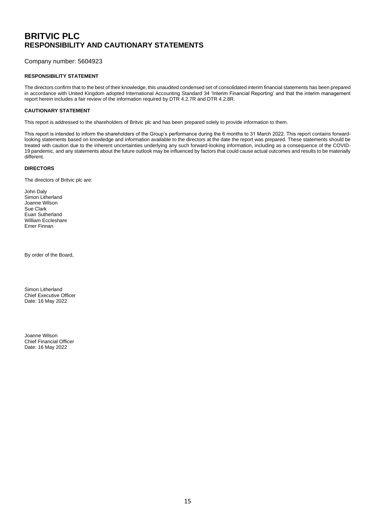## **BRITVIC PLC RESPONSIBILITY AND CAUTIONARY STATEMENTS**

Company number: 5604923

### **RESPONSIBILITY STATEMENT**

The directors confirm that to the best of their knowledge, this unaudited condensed set of consolidated interim financial statements has been prepared in accordance with United Kingdom adopted International Accounting Standard 34 'Interim Financial Reporting' and that the interim management report herein includes a fair review of the information required by DTR 4.2.7R and DTR 4.2.8R.

### **CAUTIONARY STATEMENT**

This report is addressed to the shareholders of Britvic plc and has been prepared solely to provide information to them.

This report is intended to inform the shareholders of the Group's performance during the 6 months to 31 March 2022. This report contains forwardlooking statements based on knowledge and information available to the directors at the date the report was prepared. These statements should be treated with caution due to the inherent uncertainties underlying any such forward-looking information, including as a consequence of the COVID-19 pandemic, and any statements about the future outlook may be influenced by factors that could cause actual outcomes and results to be materially different.

### **DIRECTORS**

The directors of Britvic plc are:

John Daly Simon Litherland Joanne Wilson Sue Clark Euan Sutherland William Eccleshare Emer Finnan

By order of the Board,

Simon Litherland Chief Executive Officer Date: 16 May 2022

Joanne Wilson Chief Financial Officer Date: 16 May 2022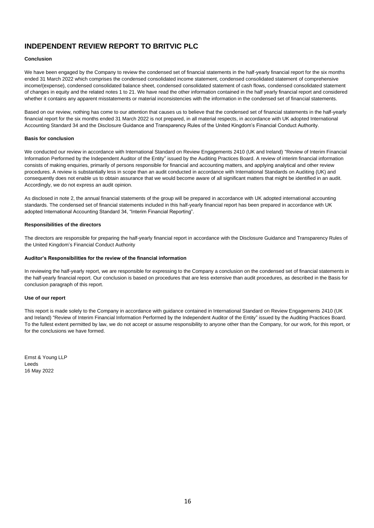## **INDEPENDENT REVIEW REPORT TO BRITVIC PLC**

### **Conclusion**

We have been engaged by the Company to review the condensed set of financial statements in the half-yearly financial report for the six months ended 31 March 2022 which comprises the condensed consolidated income statement, condensed consolidated statement of comprehensive income/(expense), condensed consolidated balance sheet, condensed consolidated statement of cash flows, condensed consolidated statement of changes in equity and the related notes 1 to 21. We have read the other information contained in the half yearly financial report and considered whether it contains any apparent misstatements or material inconsistencies with the information in the condensed set of financial statements.

Based on our review, nothing has come to our attention that causes us to believe that the condensed set of financial statements in the half-yearly financial report for the six months ended 31 March 2022 is not prepared, in all material respects, in accordance with UK adopted International Accounting Standard 34 and the Disclosure Guidance and Transparency Rules of the United Kingdom's Financial Conduct Authority.

### **Basis for conclusion**

We conducted our review in accordance with International Standard on Review Engagements 2410 (UK and Ireland) "Review of Interim Financial Information Performed by the Independent Auditor of the Entity" issued by the Auditing Practices Board. A review of interim financial information consists of making enquiries, primarily of persons responsible for financial and accounting matters, and applying analytical and other review procedures. A review is substantially less in scope than an audit conducted in accordance with International Standards on Auditing (UK) and consequently does not enable us to obtain assurance that we would become aware of all significant matters that might be identified in an audit. Accordingly, we do not express an audit opinion.

As disclosed in note 2, the annual financial statements of the group will be prepared in accordance with UK adopted international accounting standards. The condensed set of financial statements included in this half-yearly financial report has been prepared in accordance with UK adopted International Accounting Standard 34, "Interim Financial Reporting".

### **Responsibilities of the directors**

The directors are responsible for preparing the half-yearly financial report in accordance with the Disclosure Guidance and Transparency Rules of the United Kingdom's Financial Conduct Authority

#### **Auditor's Responsibilities for the review of the financial information**

In reviewing the half-yearly report, we are responsible for expressing to the Company a conclusion on the condensed set of financial statements in the half-yearly financial report. Our conclusion is based on procedures that are less extensive than audit procedures, as described in the Basis for conclusion paragraph of this report.

### **Use of our report**

This report is made solely to the Company in accordance with guidance contained in International Standard on Review Engagements 2410 (UK and Ireland) "Review of Interim Financial Information Performed by the Independent Auditor of the Entity" issued by the Auditing Practices Board. To the fullest extent permitted by law, we do not accept or assume responsibility to anyone other than the Company, for our work, for this report, or for the conclusions we have formed.

Ernst & Young LLP Leeds 16 May 2022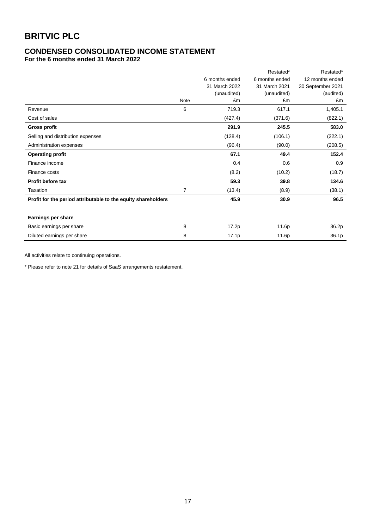## **CONDENSED CONSOLIDATED INCOME STATEMENT**

**For the 6 months ended 31 March 2022**

|                                                               |                |                | Restated*      | Restated*         |
|---------------------------------------------------------------|----------------|----------------|----------------|-------------------|
|                                                               |                | 6 months ended | 6 months ended | 12 months ended   |
|                                                               |                | 31 March 2022  | 31 March 2021  | 30 September 2021 |
|                                                               |                | (unaudited)    | (unaudited)    | (audited)         |
|                                                               | Note           | £m             | £m             | £m                |
| Revenue                                                       | 6              | 719.3          | 617.1          | 1,405.1           |
| Cost of sales                                                 |                | (427.4)        | (371.6)        | (822.1)           |
| <b>Gross profit</b>                                           |                | 291.9          | 245.5          | 583.0             |
| Selling and distribution expenses                             |                | (128.4)        | (106.1)        | (222.1)           |
| Administration expenses                                       |                | (96.4)         | (90.0)         | (208.5)           |
| <b>Operating profit</b>                                       |                | 67.1           | 49.4           | 152.4             |
| Finance income                                                |                | 0.4            | 0.6            | 0.9               |
| Finance costs                                                 |                | (8.2)          | (10.2)         | (18.7)            |
| Profit before tax                                             |                | 59.3           | 39.8           | 134.6             |
| Taxation                                                      | $\overline{7}$ | (13.4)         | (8.9)          | (38.1)            |
| Profit for the period attributable to the equity shareholders |                | 45.9           | 30.9           | 96.5              |
|                                                               |                |                |                |                   |
| <b>Earnings per share</b>                                     |                |                |                |                   |
| Basic earnings per share                                      | 8              | 17.2p          | 11.6p          | 36.2p             |
| Diluted earnings per share                                    | 8              | 17.1p          | 11.6p          | 36.1p             |

All activities relate to continuing operations.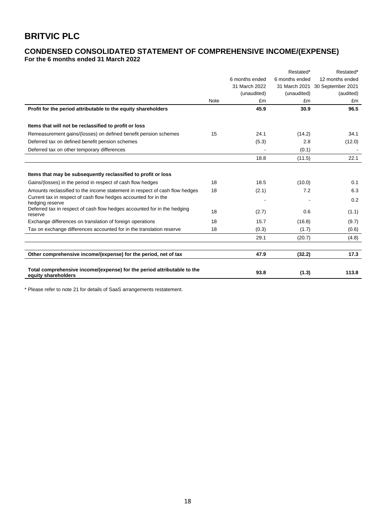# **CONDENSED CONSOLIDATED STATEMENT OF COMPREHENSIVE INCOME/(EXPENSE)**

**For the 6 months ended 31 March 2022**

|                                                                                                |             |                | Restated*      | Restated*         |
|------------------------------------------------------------------------------------------------|-------------|----------------|----------------|-------------------|
|                                                                                                |             | 6 months ended | 6 months ended | 12 months ended   |
|                                                                                                |             | 31 March 2022  | 31 March 2021  | 30 September 2021 |
|                                                                                                |             | (unaudited)    | (unaudited)    | (audited)         |
|                                                                                                | <b>Note</b> | £m             | £m             | £m                |
| Profit for the period attributable to the equity shareholders                                  |             | 45.9           | 30.9           | 96.5              |
| Items that will not be reclassified to profit or loss                                          |             |                |                |                   |
| Remeasurement gains/(losses) on defined benefit pension schemes                                | 15          | 24.1           | (14.2)         | 34.1              |
| Deferred tax on defined benefit pension schemes                                                |             | (5.3)          | 2.8            | (12.0)            |
| Deferred tax on other temporary differences                                                    |             |                | (0.1)          |                   |
|                                                                                                |             | 18.8           | (11.5)         | 22.1              |
|                                                                                                |             |                |                |                   |
| Items that may be subsequently reclassified to profit or loss                                  |             |                |                |                   |
| Gains/(losses) in the period in respect of cash flow hedges                                    | 18          | 18.5           | (10.0)         | 0.1               |
| Amounts reclassified to the income statement in respect of cash flow hedges                    | 18          | (2.1)          | 7.2            | 6.3               |
| Current tax in respect of cash flow hedges accounted for in the<br>hedging reserve             |             |                |                | 0.2               |
| Deferred tax in respect of cash flow hedges accounted for in the hedging<br>reserve            | 18          | (2.7)          | 0.6            | (1.1)             |
| Exchange differences on translation of foreign operations                                      | 18          | 15.7           | (16.8)         | (9.7)             |
| Tax on exchange differences accounted for in the translation reserve                           | 18          | (0.3)          | (1.7)          | (0.6)             |
|                                                                                                |             | 29.1           | (20.7)         | (4.8)             |
|                                                                                                |             |                |                |                   |
| Other comprehensive income/(expense) for the period, net of tax                                |             | 47.9           | (32.2)         | 17.3              |
| Total comprehensive income/(expense) for the period attributable to the<br>equity shareholders |             | 93.8           | (1.3)          | 113.8             |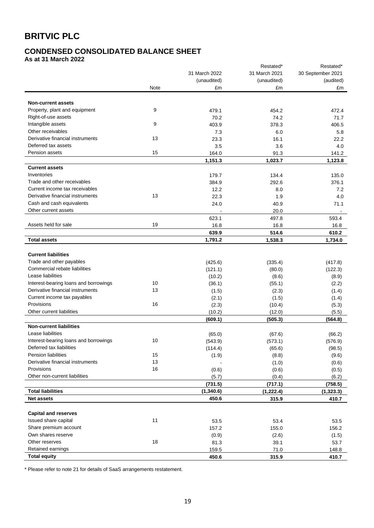# **CONDENSED CONSOLIDATED BALANCE SHEET**

**As at 31 March 2022**

|                                       |      |               | Restated*     | Restated*         |
|---------------------------------------|------|---------------|---------------|-------------------|
|                                       |      | 31 March 2022 | 31 March 2021 | 30 September 2021 |
|                                       |      | (unaudited)   | (unaudited)   | (audited)         |
|                                       | Note | £m            | £m            | £m                |
|                                       |      |               |               |                   |
| <b>Non-current assets</b>             |      |               |               |                   |
| Property, plant and equipment         | 9    | 479.1         | 454.2         | 472.4             |
| Right-of-use assets                   |      | 70.2          | 74.2          | 71.7              |
| Intangible assets                     | 9    | 403.9         | 378.3         | 406.5             |
| Other receivables                     |      | 7.3           | 6.0           | 5.8               |
| Derivative financial instruments      | 13   | 23.3          | 16.1          | 22.2              |
| Deferred tax assets                   |      | 3.5           | 3.6           | 4.0               |
| Pension assets                        | 15   | 164.0         | 91.3          | 141.2             |
|                                       |      | 1,151.3       | 1,023.7       | 1,123.8           |
| <b>Current assets</b>                 |      |               |               |                   |
| Inventories                           |      | 179.7         | 134.4         | 135.0             |
| Trade and other receivables           |      | 384.9         | 292.6         | 376.1             |
| Current income tax receivables        |      | 12.2          | 8.0           | 7.2               |
| Derivative financial instruments      | 13   | 22.3          | 1.9           | 4.0               |
| Cash and cash equivalents             |      | 24.0          | 40.9          | 71.1              |
| Other current assets                  |      |               | 20.0          |                   |
|                                       |      | 623.1         | 497.8         | 593.4             |
| Assets held for sale                  | 19   | 16.8          | 16.8          | 16.8              |
|                                       |      | 639.9         | 514.6         | 610.2             |
| <b>Total assets</b>                   |      | 1,791.2       | 1,538.3       | 1,734.0           |
|                                       |      |               |               |                   |
| <b>Current liabilities</b>            |      |               |               |                   |
| Trade and other payables              |      | (425.6)       | (335.4)       | (417.8)           |
| Commercial rebate liabilities         |      | (121.1)       | (80.0)        | (122.3)           |
| Lease liabilities                     |      | (10.2)        | (8.6)         | (8.9)             |
| Interest-bearing loans and borrowings | 10   | (36.1)        | (55.1)        | (2.2)             |
| Derivative financial instruments      | 13   | (1.5)         | (2.3)         | (1.4)             |
| Current income tax payables           |      | (2.1)         | (1.5)         | (1.4)             |
| Provisions                            | 16   | (2.3)         | (10.4)        | (5.3)             |
| Other current liabilities             |      | (10.2)        | (12.0)        | (5.5)             |
|                                       |      | (609.1)       | (505.3)       | (564.8)           |
| <b>Non-current liabilities</b>        |      |               |               |                   |
| Lease liabilities                     |      | (65.0)        | (67.6)        | (66.2)            |
| Interest-bearing loans and borrowings | 10   | (543.9)       | (573.1)       | (576.9)           |
| Deferred tax liabilities              |      | (114.4)       | (65.6)        | (98.5)            |
| <b>Pension liabilities</b>            | 15   | (1.9)         | (8.8)         | (9.6)             |
| Derivative financial instruments      | 13   |               | (1.0)         | (0.6)             |
| Provisions                            | 16   | (0.6)         | (0.6)         | (0.5)             |
| Other non-current liabilities         |      | (5.7)         | (0.4)         | (6.2)             |
|                                       |      | (731.5)       | (717.1)       | (758.5)           |
| <b>Total liabilities</b>              |      | (1,340.6)     | (1, 222.4)    | (1, 323.3)        |
| <b>Net assets</b>                     |      | 450.6         | 315.9         | 410.7             |
|                                       |      |               |               |                   |
| <b>Capital and reserves</b>           |      |               |               |                   |
| Issued share capital                  | 11   | 53.5          | 53.4          | 53.5              |
| Share premium account                 |      | 157.2         | 155.0         | 156.2             |
| Own shares reserve                    |      | (0.9)         | (2.6)         | (1.5)             |
| Other reserves                        | 18   | 81.3          | 39.1          | 53.7              |
| Retained earnings                     |      | 159.5         | 71.0          | 148.8             |
| <b>Total equity</b>                   |      | 450.6         | 315.9         | 410.7             |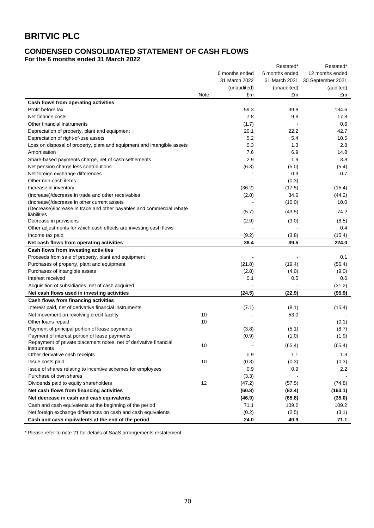## **CONDENSED CONSOLIDATED STATEMENT OF CASH FLOWS**

**For the 6 months ended 31 March 2022**

|                                                                         |      |                | Restated*      | Restated*         |
|-------------------------------------------------------------------------|------|----------------|----------------|-------------------|
|                                                                         |      | 6 months ended | 6 months ended | 12 months ended   |
|                                                                         |      | 31 March 2022  | 31 March 2021  | 30 September 2021 |
|                                                                         |      | (unaudited)    | (unaudited)    | (audited)         |
|                                                                         | Note | £m             | £m             | £m                |
| Cash flows from operating activities                                    |      |                |                |                   |
| Profit before tax                                                       |      | 59.3           | 39.8           | 134.6             |
| Net finance costs                                                       |      | 7.8            | 9.6            | 17.8              |
| Other financial instruments                                             |      | (1.7)          |                | 0.6               |
| Depreciation of property, plant and equipment                           |      | 20.1           | 22.2           | 42.7              |
| Depreciation of right-of-use assets                                     |      | 5.2            | 5.4            | 10.5              |
| Loss on disposal of property, plant and equipment and intangible assets |      | 0.3            | 1.3            | 2.8               |
| Amortisation                                                            |      | 7.6            | 6.9            | 14.8              |
| Share-based payments charge, net of cash settlements                    |      | 2.9            | 1.9            | 3.8               |
| Net pension charge less contributions                                   |      | (6.3)          | (5.0)          | (5.4)             |
| Net foreign exchange differences                                        |      |                | 0.9            | 0.7               |
| Other non-cash items                                                    |      |                | (0.3)          |                   |
| Increase in inventory                                                   |      | (36.2)         | (17.5)         | (15.4)            |
| (Increase)/decrease in trade and other receivables                      |      | (2.8)          | 34.6           | (44.2)            |
| (Increase)/decrease in other current assets                             |      |                | (10.0)         | 10.0              |
| (Decrease)/increase in trade and other payables and commercial rebate   |      |                |                |                   |
| liabilities                                                             |      | (5.7)          | (43.5)         | 74.2              |
| Decrease in provisions                                                  |      | (2.9)          | (3.0)          | (8.5)             |
| Other adjustments for which cash effects are investing cash flows       |      |                |                | 0.4               |
| Income tax paid                                                         |      | (9.2)          | (3.8)          | (15.4)            |
| Net cash flows from operating activities                                |      | 38.4           | 39.5           | 224.0             |
| Cash flows from investing activities                                    |      |                |                |                   |
| Proceeds from sale of property, plant and equipment                     |      |                |                | 0.1               |
| Purchases of property, plant and equipment                              |      | (21.8)         | (19.4)         | (56.4)            |
| Purchases of intangible assets                                          |      | (2.8)          | (4.0)          | (9.0)             |
| Interest received                                                       |      | 0.1            | 0.5            | 0.6               |
| Acquisition of subsidiaries, net of cash acquired                       |      |                |                | (31.2)            |
| Net cash flows used in investing activities                             |      | (24.5)         | (22.9)         | (95.9)            |
| Cash flows from financing activities                                    |      |                |                |                   |
| Interest paid, net of derivative financial instruments                  |      | (7.1)          | (8.1)          | (15.4)            |
| Net movement on revolving credit facility                               | 10   |                | 53.0           |                   |
| Other loans repaid                                                      | 10   |                |                | (0.1)             |
| Payment of principal portion of lease payments                          |      | (3.8)          | (5.1)          | (8.7)             |
| Payment of interest portion of lease payments                           |      | (0.9)          | (1.0)          | (1.9)             |
| Repayment of private placement notes, net of derivative financial       | 10   |                |                |                   |
| instruments                                                             |      |                | (65.4)         | (65.4)            |
| Other derivative cash receipts                                          |      | 0.9            | 1.1            | 1.3               |
| Issue costs paid                                                        | 10   | (0.3)          | (0.3)          | (0.3)             |
| Issue of shares relating to incentive schemes for employees             |      | 0.9            | 0.9            | 2.2               |
| Purchase of own shares                                                  |      | (3.3)          |                |                   |
| Dividends paid to equity shareholders                                   | 12   | (47.2)         | (57.5)         | (74.8)            |
| Net cash flows from financing activities                                |      | (60.8)         | (82.4)         | (163.1)           |
| Net decrease in cash and cash equivalents                               |      | (46.9)         | (65.8)         | (35.0)            |
| Cash and cash equivalents at the beginning of the period                |      | 71.1           | 109.2          | 109.2             |
| Net foreign exchange differences on cash and cash equivalents           |      | (0.2)          | (2.5)          | (3.1)             |
| Cash and cash equivalents at the end of the period                      |      | 24.0           | 40.9           | 71.1              |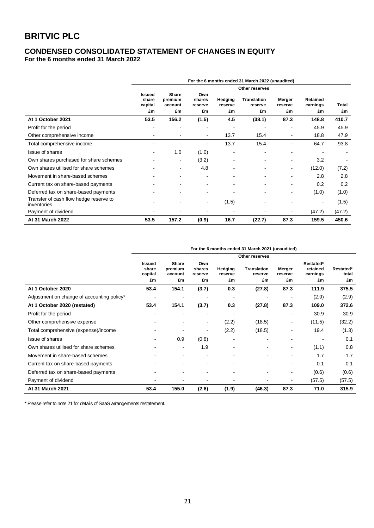# **CONDENSED CONSOLIDATED STATEMENT OF CHANGES IN EQUITY**

**For the 6 months ended 31 March 2022**

|                                                       | For the 6 months ended 31 March 2022 (unaudited) |                                   |                                |                          |                              |                          |                            |                    |
|-------------------------------------------------------|--------------------------------------------------|-----------------------------------|--------------------------------|--------------------------|------------------------------|--------------------------|----------------------------|--------------------|
|                                                       |                                                  |                                   |                                |                          | Other reserves               |                          |                            |                    |
|                                                       | <b>Issued</b><br>share<br>capital<br>£m          | Share<br>premium<br>account<br>£m | Own<br>shares<br>reserve<br>£m | Hedging<br>reserve<br>£m | Translation<br>reserve<br>£m | Merger<br>reserve<br>£m  | Retained<br>earnings<br>£m | <b>Total</b><br>£m |
| At 1 October 2021                                     | 53.5                                             | 156.2                             | (1.5)                          | 4.5                      | (38.1)                       | 87.3                     | 148.8                      | 410.7              |
| Profit for the period                                 |                                                  |                                   |                                |                          |                              |                          | 45.9                       | 45.9               |
| Other comprehensive income                            |                                                  |                                   | $\overline{\phantom{a}}$       | 13.7                     | 15.4                         | $\overline{\phantom{a}}$ | 18.8                       | 47.9               |
| Total comprehensive income                            |                                                  |                                   |                                | 13.7                     | 15.4                         |                          | 64.7                       | 93.8               |
| Issue of shares                                       | ۰                                                | 1.0                               | (1.0)                          |                          |                              |                          |                            |                    |
| Own shares purchased for share schemes                |                                                  | $\overline{\phantom{a}}$          | (3.2)                          |                          |                              |                          | 3.2                        |                    |
| Own shares utilised for share schemes                 |                                                  | $\overline{\phantom{a}}$          | 4.8                            |                          |                              | $\overline{\phantom{a}}$ | (12.0)                     | (7.2)              |
| Movement in share-based schemes                       |                                                  |                                   |                                |                          |                              |                          | 2.8                        | 2.8                |
| Current tax on share-based payments                   |                                                  |                                   |                                |                          |                              |                          | 0.2                        | 0.2                |
| Deferred tax on share-based payments                  |                                                  |                                   |                                |                          |                              |                          | (1.0)                      | (1.0)              |
| Transfer of cash flow hedge reserve to<br>inventories |                                                  |                                   | $\sim$                         | (1.5)                    |                              |                          | $\blacksquare$             | (1.5)              |
| Payment of dividend                                   |                                                  |                                   |                                |                          |                              |                          | (47.2)                     | (47.2)             |
| At 31 March 2022                                      | 53.5                                             | 157.2                             | (0.9)                          | 16.7                     | (22.7)                       | 87.3                     | 159.5                      | 450.6              |

| For the 6 months ended 31 March 2021 (unaudited) |  |  |
|--------------------------------------------------|--|--|
|                                                  |  |  |

|                                            |                                         |                                          |                                | Other reserves           |                              |                          |                                         |                          |
|--------------------------------------------|-----------------------------------------|------------------------------------------|--------------------------------|--------------------------|------------------------------|--------------------------|-----------------------------------------|--------------------------|
|                                            | <b>Issued</b><br>share<br>capital<br>£m | <b>Share</b><br>premium<br>account<br>£m | Own<br>shares<br>reserve<br>£m | Hedging<br>reserve<br>£m | Translation<br>reserve<br>£m | Merger<br>reserve<br>£m  | Restated*<br>retained<br>earnings<br>£m | Restated*<br>total<br>£m |
| At 1 October 2020                          | 53.4                                    | 154.1                                    | (3.7)                          | 0.3                      | (27.8)                       | 87.3                     | 111.9                                   | 375.5                    |
| Adjustment on change of accounting policy* |                                         |                                          |                                |                          |                              | $\overline{\phantom{a}}$ | (2.9)                                   | (2.9)                    |
| At 1 October 2020 (restated)               | 53.4                                    | 154.1                                    | (3.7)                          | 0.3                      | (27.8)                       | 87.3                     | 109.0                                   | 372.6                    |
| Profit for the period                      |                                         |                                          |                                |                          |                              |                          | 30.9                                    | 30.9                     |
| Other comprehensive expense                |                                         |                                          | ۰                              | (2.2)                    | (18.5)                       | $\overline{\phantom{a}}$ | (11.5)                                  | (32.2)                   |
| Total comprehensive (expense)/income       |                                         |                                          | $\overline{\phantom{a}}$       | (2.2)                    | (18.5)                       | $\blacksquare$           | 19.4                                    | (1.3)                    |
| Issue of shares                            |                                         | 0.9                                      | (0.8)                          |                          |                              |                          |                                         | 0.1                      |
| Own shares utilised for share schemes      |                                         | ٠                                        | 1.9                            |                          |                              | $\overline{\phantom{a}}$ | (1.1)                                   | 0.8                      |
| Movement in share-based schemes            |                                         |                                          |                                |                          |                              | $\blacksquare$           | 1.7                                     | 1.7                      |
| Current tax on share-based payments        |                                         |                                          |                                |                          |                              | $\overline{\phantom{a}}$ | 0.1                                     | 0.1                      |
| Deferred tax on share-based payments       |                                         |                                          |                                |                          |                              | $\blacksquare$           | (0.6)                                   | (0.6)                    |
| Payment of dividend                        |                                         |                                          |                                |                          |                              | $\overline{\phantom{a}}$ | (57.5)                                  | (57.5)                   |
| At 31 March 2021                           | 53.4                                    | 155.0                                    | (2.6)                          | (1.9)                    | (46.3)                       | 87.3                     | 71.0                                    | 315.9                    |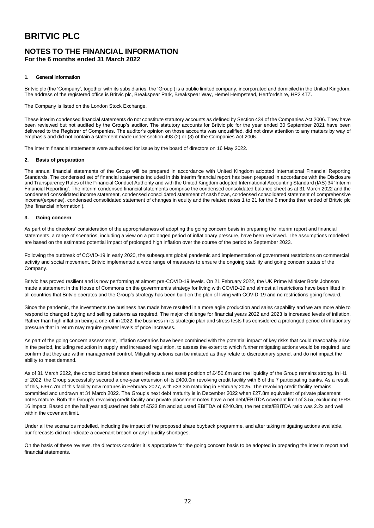# **NOTES TO THE FINANCIAL INFORMATION**

**For the 6 months ended 31 March 2022**

### **1. General information**

Britvic plc (the 'Company', together with its subsidiaries, the 'Group') is a public limited company, incorporated and domiciled in the United Kingdom. The address of the registered office is Britvic plc, Breakspear Park, Breakspear Way, Hemel Hempstead, Hertfordshire, HP2 4TZ.

The Company is listed on the London Stock Exchange.

These interim condensed financial statements do not constitute statutory accounts as defined by Section 434 of the Companies Act 2006. They have been reviewed but not audited by the Group's auditor. The statutory accounts for Britvic plc for the year ended 30 September 2021 have been delivered to the Registrar of Companies. The auditor's opinion on those accounts was unqualified, did not draw attention to any matters by way of emphasis and did not contain a statement made under section 498 (2) or (3) of the Companies Act 2006.

The interim financial statements were authorised for issue by the board of directors on 16 May 2022.

### **2. Basis of preparation**

The annual financial statements of the Group will be prepared in accordance with United Kingdom adopted International Financial Reporting Standards. The condensed set of financial statements included in this interim financial report has been prepared in accordance with the Disclosure and Transparency Rules of the Financial Conduct Authority and with the United Kingdom adopted International Accounting Standard (IAS) 34 'Interim Financial Reporting'. The interim condensed financial statements comprise the condensed consolidated balance sheet as at 31 March 2022 and the condensed consolidated income statement, condensed consolidated statement of cash flows, condensed consolidated statement of comprehensive income/(expense), condensed consolidated statement of changes in equity and the related notes 1 to 21 for the 6 months then ended of Britvic plc (the 'financial information').

### **3. Going concern**

As part of the directors' consideration of the appropriateness of adopting the going concern basis in preparing the interim report and financial statements, a range of scenarios, including a view on a prolonged period of inflationary pressure, have been reviewed. The assumptions modelled are based on the estimated potential impact of prolonged high inflation over the course of the period to September 2023.

Following the outbreak of COVID-19 in early 2020, the subsequent global pandemic and implementation of government restrictions on commercial activity and social movement, Britvic implemented a wide range of measures to ensure the ongoing stability and going concern status of the Company.

Britvic has proved resilient and is now performing at almost pre-COVID-19 levels. On 21 February 2022, the UK Prime Minister Boris Johnson made a statement in the House of Commons on the government's strategy for living with COVID-19 and almost all restrictions have been lifted in all countries that Britvic operates and the Group's strategy has been built on the plan of living with COVID-19 and no restrictions going forward.

Since the pandemic, the investments the business has made have resulted in a more agile production and sales capability and we are more able to respond to changed buying and selling patterns as required. The major challenge for financial years 2022 and 2023 is increased levels of inflation. Rather than high inflation being a one-off in 2022, the business in its strategic plan and stress tests has considered a prolonged period of inflationary pressure that in return may require greater levels of price increases.

As part of the going concern assessment, inflation scenarios have been combined with the potential impact of key risks that could reasonably arise in the period, including reduction in supply and increased regulation, to assess the extent to which further mitigating actions would be required, and confirm that they are within management control. Mitigating actions can be initiated as they relate to discretionary spend, and do not impact the ability to meet demand.

As of 31 March 2022, the consolidated balance sheet reflects a net asset position of £450.6m and the liquidity of the Group remains strong. In H1 of 2022, the Group successfully secured a one-year extension of its £400.0m revolving credit facility with 6 of the 7 participating banks. As a result of this, £367.7m of this facility now matures in February 2027, with £33.3m maturing in February 2025. The revolving credit facility remains committed and undrawn at 31 March 2022. The Group's next debt maturity is in December 2022 when £27.8m equivalent of private placement notes mature. Both the Group's revolving credit facility and private placement notes have a net debt/EBITDA covenant limit of 3.5x, excluding IFRS 16 impact. Based on the half year adjusted net debt of £533.8m and adjusted EBITDA of £240.3m, the net debt/EBITDA ratio was 2.2x and well within the covenant limit.

Under all the scenarios modelled, including the impact of the proposed share buyback programme, and after taking mitigating actions available, our forecasts did not indicate a covenant breach or any liquidity shortages.

On the basis of these reviews, the directors consider it is appropriate for the going concern basis to be adopted in preparing the interim report and financial statements.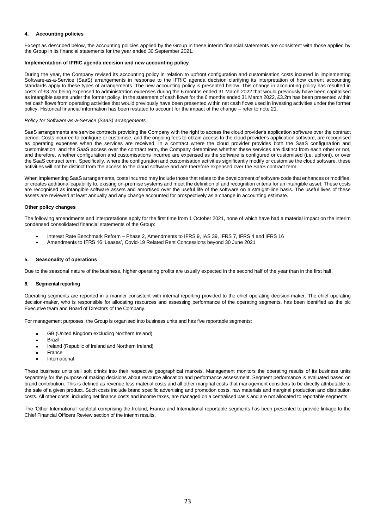### **4. Accounting policies**

Except as described below, the accounting policies applied by the Group in these interim financial statements are consistent with those applied by the Group in its financial statements for the year ended 30 September 2021.

### **Implementation of IFRIC agenda decision and new accounting policy**

During the year, the Company revised its accounting policy in relation to upfront configuration and customisation costs incurred in implementing Software-as-a-Service (SaaS) arrangements in response to the IFRIC agenda decision clarifying its interpretation of how current accounting standards apply to these types of arrangements. The new accounting policy is presented below. This change in accounting policy has resulted in costs of £3.2m being expensed to administration expenses during the 6 months ended 31 March 2022 that would previously have been capitalised as intangible assets under the former policy. In the statement of cash flows for the 6 months ended 31 March 2022, £3.2m has been presented within net cash flows from operating activities that would previously have been presented within net cash flows used in investing activities under the former policy. Historical financial information has been restated to account for the impact of the change – refer to note 21.

### *Policy for Software-as-a-Service (SaaS) arrangements*

SaaS arrangements are service contracts providing the Company with the right to access the cloud provider's application software over the contract period. Costs incurred to configure or customise, and the ongoing fees to obtain access to the cloud provider's application software, are recognised as operating expenses when the services are received. In a contract where the cloud provider provides both the SaaS configuration and customisation, and the SaaS access over the contract term, the Company determines whether these services are distinct from each other or not, and therefore, whether configuration and customisations incurred are expensed as the software is configured or customised (i.e. upfront), or over the SaaS contract term. Specifically, where the configuration and customisation activities significantly modify or customise the cloud software, these activities will not be distinct from the access to the cloud software and are therefore expensed over the SaaS contract term.

When implementing SaaS arrangements, costs incurred may include those that relate to the development of software code that enhances or modifies, or creates additional capability to, existing on-premise systems and meet the definition of and recognition criteria for an intangible asset. These costs are recognised as intangible software assets and amortised over the useful life of the software on a straight-line basis. The useful lives of these assets are reviewed at least annually and any change accounted for prospectively as a change in accounting estimate.

### **Other policy changes**

The following amendments and interpretations apply for the first time from 1 October 2021, none of which have had a material impact on the interim condensed consolidated financial statements of the Group:

- Interest Rate Benchmark Reform Phase 2, Amendments to IFRS 9, IAS 39, IFRS 7, IFRS 4 and IFRS 16
- Amendments to IFRS 16 'Leases', Covid-19 Related Rent Concessions beyond 30 June 2021

### **5. Seasonality of operations**

Due to the seasonal nature of the business, higher operating profits are usually expected in the second half of the year than in the first half.

### **6. Segmental reporting**

Operating segments are reported in a manner consistent with internal reporting provided to the chief operating decision-maker. The chief operating decision-maker, who is responsible for allocating resources and assessing performance of the operating segments, has been identified as the plc Executive team and Board of Directors of the Company.

For management purposes, the Group is organised into business units and has five reportable segments:

- GB (United Kingdom excluding Northern Ireland)
- **Brazil**
- Ireland (Republic of Ireland and Northern Ireland)
- France
- **International**

These business units sell soft drinks into their respective geographical markets. Management monitors the operating results of its business units separately for the purpose of making decisions about resource allocation and performance assessment. Segment performance is evaluated based on brand contribution. This is defined as revenue less material costs and all other marginal costs that management considers to be directly attributable to the sale of a given product. Such costs include brand specific advertising and promotion costs, raw materials and marginal production and distribution costs. All other costs, including net finance costs and income taxes, are managed on a centralised basis and are not allocated to reportable segments.

The 'Other International' subtotal comprising the Ireland, France and International reportable segments has been presented to provide linkage to the Chief Financial Officers Review section of the interim results.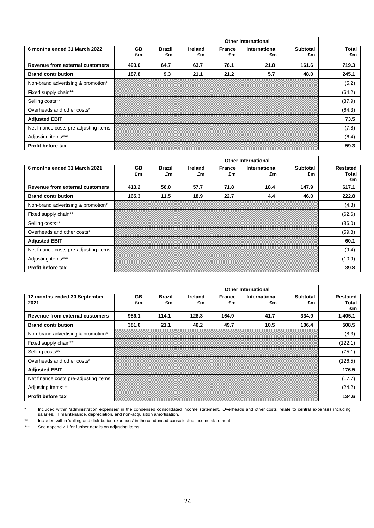|                                       |                 |                     | Other international |                     |                     |                       |                    |
|---------------------------------------|-----------------|---------------------|---------------------|---------------------|---------------------|-----------------------|--------------------|
| 6 months ended 31 March 2022          | <b>GB</b><br>£m | <b>Brazil</b><br>£m | Ireland<br>£m       | <b>France</b><br>£m | International<br>£m | <b>Subtotal</b><br>£m | <b>Total</b><br>£m |
| Revenue from external customers       | 493.0           | 64.7                | 63.7                | 76.1                | 21.8                | 161.6                 | 719.3              |
| <b>Brand contribution</b>             | 187.8           | 9.3                 | 21.1                | 21.2                | 5.7                 | 48.0                  | 245.1              |
| Non-brand advertising & promotion*    |                 |                     |                     |                     |                     |                       | (5.2)              |
| Fixed supply chain**                  |                 |                     |                     |                     |                     |                       | (64.2)             |
| Selling costs**                       |                 |                     |                     |                     |                     |                       | (37.9)             |
| Overheads and other costs*            |                 |                     |                     |                     |                     |                       | (64.3)             |
| <b>Adjusted EBIT</b>                  |                 |                     |                     |                     |                     |                       | 73.5               |
| Net finance costs pre-adjusting items |                 |                     |                     |                     |                     |                       | (7.8)              |
| Adjusting items***                    |                 |                     |                     |                     |                     |                       | (6.4)              |
| <b>Profit before tax</b>              |                 |                     |                     |                     |                     |                       | 59.3               |

|                                       |                 |                     | <b>Other International</b> |                     |                            |                       |                         |
|---------------------------------------|-----------------|---------------------|----------------------------|---------------------|----------------------------|-----------------------|-------------------------|
| 6 months ended 31 March 2021          | <b>GB</b><br>£m | <b>Brazil</b><br>£m | <b>Ireland</b><br>£m       | <b>France</b><br>£m | <b>International</b><br>£m | <b>Subtotal</b><br>£m | Restated<br>Total<br>£m |
| Revenue from external customers       | 413.2           | 56.0                | 57.7                       | 71.8                | 18.4                       | 147.9                 | 617.1                   |
| <b>Brand contribution</b>             | 165.3           | 11.5                | 18.9                       | 22.7                | 4.4                        | 46.0                  | 222.8                   |
| Non-brand advertising & promotion*    |                 |                     |                            |                     |                            |                       | (4.3)                   |
| Fixed supply chain**                  |                 |                     |                            |                     |                            |                       | (62.6)                  |
| Selling costs**                       |                 |                     |                            |                     |                            |                       | (36.0)                  |
| Overheads and other costs*            |                 |                     |                            |                     |                            |                       | (59.8)                  |
| <b>Adjusted EBIT</b>                  |                 |                     |                            |                     |                            |                       | 60.1                    |
| Net finance costs pre-adjusting items |                 |                     |                            |                     |                            |                       | (9.4)                   |
| Adjusting items***                    |                 |                     |                            |                     |                            |                       | (10.9)                  |
| <b>Profit before tax</b>              |                 |                     |                            |                     |                            |                       | 39.8                    |

|                                       |                 |                     | <b>Other International</b> |                     |                            |                       |                                |
|---------------------------------------|-----------------|---------------------|----------------------------|---------------------|----------------------------|-----------------------|--------------------------------|
| 12 months ended 30 September<br>2021  | <b>GB</b><br>£m | <b>Brazil</b><br>£m | Ireland<br>£m              | <b>France</b><br>£m | <b>International</b><br>£m | <b>Subtotal</b><br>£m | <b>Restated</b><br>Total<br>£m |
| Revenue from external customers       | 956.1           | 114.1               | 128.3                      | 164.9               | 41.7                       | 334.9                 | 1,405.1                        |
| <b>Brand contribution</b>             | 381.0           | 21.1                | 46.2                       | 49.7                | 10.5                       | 106.4                 | 508.5                          |
| Non-brand advertising & promotion*    |                 |                     |                            |                     |                            |                       | (8.3)                          |
| Fixed supply chain**                  |                 |                     |                            |                     |                            |                       | (122.1)                        |
| Selling costs**                       |                 |                     |                            |                     |                            |                       | (75.1)                         |
| Overheads and other costs*            |                 |                     |                            |                     |                            |                       | (126.5)                        |
| <b>Adjusted EBIT</b>                  |                 |                     |                            |                     |                            |                       | 176.5                          |
| Net finance costs pre-adjusting items |                 |                     |                            |                     |                            |                       | (17.7)                         |
| Adjusting items***                    |                 |                     |                            |                     |                            |                       | (24.2)                         |
| <b>Profit before tax</b>              |                 |                     |                            |                     |                            |                       | 134.6                          |

\* Included within 'administration expenses' in the condensed consolidated income statement. 'Overheads and other costs' relate to central expenses including salaries, IT maintenance, depreciation, and non-acquisition amortisation.

\*\* Included within 'selling and distribution expenses' in the condensed consolidated income statement.<br>\*\*\* See appendix 1 for further details on adiusting items.

See appendix 1 for further details on adjusting items.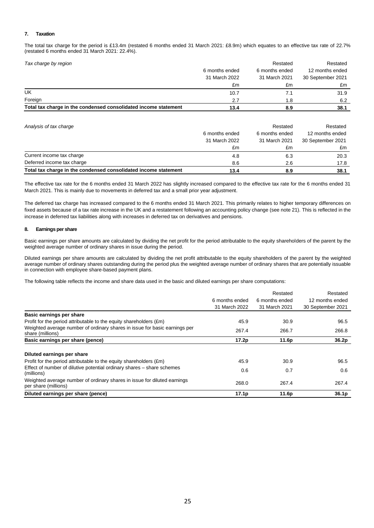### **7. Taxation**

The total tax charge for the period is £13.4m (restated 6 months ended 31 March 2021: £8.9m) which equates to an effective tax rate of 22.7% (restated 6 months ended 31 March 2021: 22.4%).

| Tax charge by region                                            |                | Restated       | Restated          |
|-----------------------------------------------------------------|----------------|----------------|-------------------|
|                                                                 | 6 months ended | 6 months ended | 12 months ended   |
|                                                                 | 31 March 2022  | 31 March 2021  | 30 September 2021 |
|                                                                 | £m             | £m             | £m                |
| UK                                                              | 10.7           |                | 31.9              |
| Foreign                                                         | 2.7            | 1.8            | 6.2               |
| Total tax charge in the condensed consolidated income statement | 13.4           | 8.9            | 38.1              |

| Analysis of tax charge                                          |                | Restated       | Restated          |
|-----------------------------------------------------------------|----------------|----------------|-------------------|
|                                                                 | 6 months ended | 6 months ended | 12 months ended   |
|                                                                 | 31 March 2022  | 31 March 2021  | 30 September 2021 |
|                                                                 | £m             | £m             | £m                |
| Current income tax charge                                       | 4.8            | 6.3            | 20.3              |
| Deferred income tax charge                                      | 8.6            | 2.6            | 17.8              |
| Total tax charge in the condensed consolidated income statement | 13.4           | 8.9            | 38.1              |

The effective tax rate for the 6 months ended 31 March 2022 has slightly increased compared to the effective tax rate for the 6 months ended 31 March 2021. This is mainly due to movements in deferred tax and a small prior year adjustment.

The deferred tax charge has increased compared to the 6 months ended 31 March 2021. This primarily relates to higher temporary differences on fixed assets because of a tax rate increase in the UK and a restatement following an accounting policy change (see note 21). This is reflected in the increase in deferred tax liabilities along with increases in deferred tax on derivatives and pensions.

### **8. Earnings per share**

Basic earnings per share amounts are calculated by dividing the net profit for the period attributable to the equity shareholders of the parent by the weighted average number of ordinary shares in issue during the period.

Diluted earnings per share amounts are calculated by dividing the net profit attributable to the equity shareholders of the parent by the weighted average number of ordinary shares outstanding during the period plus the weighted average number of ordinary shares that are potentially issuable in connection with employee share-based payment plans.

The following table reflects the income and share data used in the basic and diluted earnings per share computations:

|                                                                                                  | 6 months ended<br>31 March 2022 | Restated<br>6 months ended<br>31 March 2021 | Restated<br>12 months ended<br>30 September 2021 |
|--------------------------------------------------------------------------------------------------|---------------------------------|---------------------------------------------|--------------------------------------------------|
| Basic earnings per share                                                                         |                                 |                                             |                                                  |
| Profit for the period attributable to the equity shareholders (£m)                               | 45.9                            | 30.9                                        | 96.5                                             |
| Weighted average number of ordinary shares in issue for basic earnings per<br>share (millions)   | 267.4                           | 266.7                                       | 266.8                                            |
| Basic earnings per share (pence)                                                                 | 17.2p                           | 11.6p                                       | 36.2 <sub>p</sub>                                |
| Diluted earnings per share                                                                       |                                 |                                             |                                                  |
| Profit for the period attributable to the equity shareholders (£m)                               | 45.9                            | 30.9                                        | 96.5                                             |
| Effect of number of dilutive potential ordinary shares – share schemes<br>(millions)             | 0.6                             | 0.7                                         | 0.6                                              |
| Weighted average number of ordinary shares in issue for diluted earnings<br>per share (millions) | 268.0                           | 267.4                                       | 267.4                                            |
| Diluted earnings per share (pence)                                                               | 17.1 <sub>p</sub>               | 11.6p                                       | 36.1 <sub>p</sub>                                |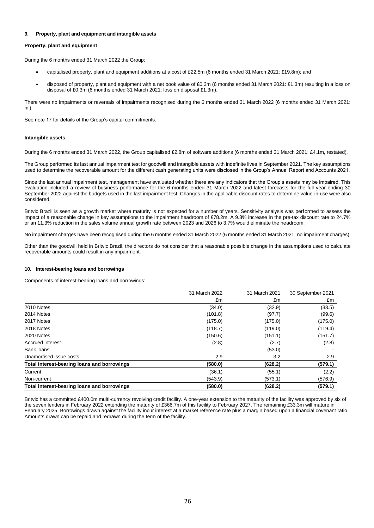### **9. Property, plant and equipment and intangible assets**

### **Property, plant and equipment**

During the 6 months ended 31 March 2022 the Group:

- capitalised property, plant and equipment additions at a cost of £22.5m (6 months ended 31 March 2021: £19.8m); and
- disposed of property, plant and equipment with a net book value of £0.3m (6 months ended 31 March 2021: £1.3m) resulting in a loss on disposal of £0.3m (6 months ended 31 March 2021: loss on disposal £1.3m).

There were no impairments or reversals of impairments recognised during the 6 months ended 31 March 2022 (6 months ended 31 March 2021: nil).

See note 17 for details of the Group's capital commitments.

### **Intangible assets**

During the 6 months ended 31 March 2022, the Group capitalised £2.8m of software additions (6 months ended 31 March 2021: £4.1m, restated).

The Group performed its last annual impairment test for goodwill and intangible assets with indefinite lives in September 2021. The key assumptions used to determine the recoverable amount for the different cash generating units were disclosed in the Group's Annual Report and Accounts 2021.

Since the last annual impairment test, management have evaluated whether there are any indicators that the Group's assets may be impaired. This evaluation included a review of business performance for the 6 months ended 31 March 2022 and latest forecasts for the full year ending 30 September 2022 against the budgets used in the last impairment test. Changes in the applicable discount rates to determine value-in-use were also considered.

Britvic Brazil is seen as a growth market where maturity is not expected for a number of years. Sensitivity analysis was performed to assess the impact of a reasonable change in key assumptions to the impairment headroom of £78.2m. A 9.8% increase in the pre-tax discount rate to 24.7% or an 11.3% reduction in the sales volume annual growth rate between 2023 and 2026 to 3.7% would eliminate the headroom.

No impairment charges have been recognised during the 6 months ended 31 March 2022 (6 months ended 31 March 2021: no impairment charges).

Other than the goodwill held in Britvic Brazil, the directors do not consider that a reasonable possible change in the assumptions used to calculate recoverable amounts could result in any impairment.

### **10. Interest-bearing loans and borrowings**

Components of interest-bearing loans and borrowings:

|                                             | 31 March 2022 | 31 March 2021 | 30 September 2021 |
|---------------------------------------------|---------------|---------------|-------------------|
|                                             | £m            | £m            | £m                |
| 2010 Notes                                  | (34.0)        | (32.9)        | (33.5)            |
| 2014 Notes                                  | (101.8)       | (97.7)        | (99.6)            |
| 2017 Notes                                  | (175.0)       | (175.0)       | (175.0)           |
| 2018 Notes                                  | (118.7)       | (119.0)       | (119.4)           |
| 2020 Notes                                  | (150.6)       | (151.1)       | (151.7)           |
| Accrued interest                            | (2.8)         | (2.7)         | (2.8)             |
| Bank loans                                  |               | (53.0)        |                   |
| Unamortised issue costs                     | 2.9           | 3.2           | 2.9               |
| Total interest-bearing loans and borrowings | (580.0)       | (628.2)       | (579.1)           |
| Current                                     | (36.1)        | (55.1)        | (2.2)             |
| Non-current                                 | (543.9)       | (573.1)       | (576.9)           |
| Total interest-bearing loans and borrowings | (580.0)       | (628.2)       | (579.1)           |

Britvic has a committed £400.0m multi-currency revolving credit facility. A one-year extension to the maturity of the facility was approved by six of the seven lenders in February 2022 extending the maturity of £366.7m of this facility to February 2027. The remaining £33.3m will mature in February 2025. Borrowings drawn against the facility incur interest at a market reference rate plus a margin based upon a financial covenant ratio. Amounts drawn can be repaid and redrawn during the term of the facility.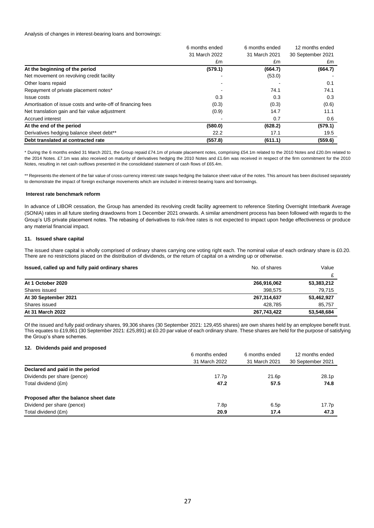Analysis of changes in interest-bearing loans and borrowings:

|                                                             | 6 months ended           | 6 months ended | 12 months ended   |
|-------------------------------------------------------------|--------------------------|----------------|-------------------|
|                                                             | 31 March 2022            | 31 March 2021  | 30 September 2021 |
|                                                             | £m                       | £m             | £m                |
| At the beginning of the period                              | (579.1)                  | (664.7)        | (664.7)           |
| Net movement on revolving credit facility                   |                          | (53.0)         |                   |
| Other loans repaid                                          |                          |                | 0.1               |
| Repayment of private placement notes*                       | $\overline{\phantom{0}}$ | 74.1           | 74.1              |
| Issue costs                                                 | 0.3                      | 0.3            | 0.3               |
| Amortisation of issue costs and write-off of financing fees | (0.3)                    | (0.3)          | (0.6)             |
| Net translation gain and fair value adjustment              | (0.9)                    | 14.7           | 11.1              |
| Accrued interest                                            |                          | 0.7            | 0.6               |
| At the end of the period                                    | (580.0)                  | (628.2)        | (579.1)           |
| Derivatives hedging balance sheet debt**                    | 22.2                     | 17.1           | 19.5              |
| Debt translated at contracted rate                          | (557.8)                  | (611.1)        | (559.6)           |

\* During the 6 months ended 31 March 2021, the Group repaid £74.1m of private placement notes, comprising £54.1m related to the 2010 Notes and £20.0m related to the 2014 Notes. £7.1m was also received on maturity of derivatives hedging the 2010 Notes and £1.6m was received in respect of the firm commitment for the 2010 Notes, resulting in net cash outflows presented in the consolidated statement of cash flows of £65.4m.

\*\* Represents the element of the fair value of cross-currency interest rate swaps hedging the balance sheet value of the notes. This amount has been disclosed separately to demonstrate the impact of foreign exchange movements which are included in interest-bearing loans and borrowings.

### **Interest rate benchmark reform**

In advance of LIBOR cessation, the Group has amended its revolving credit facility agreement to reference Sterling Overnight Interbank Average (SONIA) rates in all future sterling drawdowns from 1 December 2021 onwards. A similar amendment process has been followed with regards to the Group's US private placement notes. The rebasing of derivatives to risk-free rates is not expected to impact upon hedge effectiveness or produce any material financial impact.

### **11. Issued share capital**

The issued share capital is wholly comprised of ordinary shares carrying one voting right each. The nominal value of each ordinary share is £0.20. There are no restrictions placed on the distribution of dividends, or the return of capital on a winding up or otherwise.

| Issued, called up and fully paid ordinary shares | No. of shares | Value      |  |
|--------------------------------------------------|---------------|------------|--|
|                                                  |               | c          |  |
| At 1 October 2020                                | 266,916,062   | 53,383,212 |  |
| Shares issued                                    | 398.575       | 79,715     |  |
| At 30 September 2021                             | 267,314,637   | 53,462,927 |  |
| Shares issued                                    | 428.785       | 85,757     |  |
| At 31 March 2022                                 | 267.743.422   | 53,548,684 |  |

Of the issued and fully paid ordinary shares, 99,306 shares (30 September 2021: 129,455 shares) are own shares held by an employee benefit trust. This equates to £19,861 (30 September 2021: £25,891) at £0.20 par value of each ordinary share. These shares are held for the purpose of satisfying the Group's share schemes.

### **12. Dividends paid and proposed**

|                                       | 6 months ended | 6 months ended | 12 months ended   |
|---------------------------------------|----------------|----------------|-------------------|
|                                       | 31 March 2022  | 31 March 2021  | 30 September 2021 |
| Declared and paid in the period       |                |                |                   |
| Dividends per share (pence)           | 17.7p          | 21.6p          | 28.1p             |
| Total dividend (£m)                   | 47.2           | 57.5           | 74.8              |
| Proposed after the balance sheet date |                |                |                   |
| Dividend per share (pence)            | 7.8p           | 6.5p           | 17.7p             |
| Total dividend (£m)                   | 20.9           | 17.4           | 47.3              |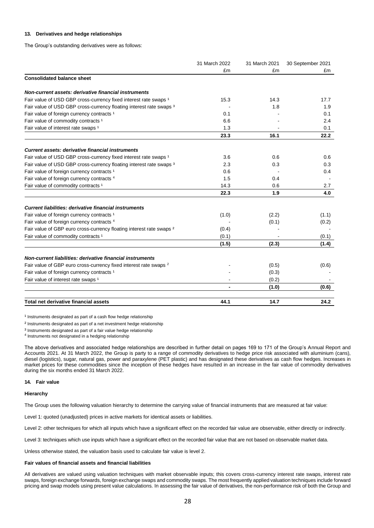### **13. Derivatives and hedge relationships**

The Group's outstanding derivatives were as follows:

|                                                                                 | 31 March 2022 | 31 March 2021                                                       | 30 September 2021 |
|---------------------------------------------------------------------------------|---------------|---------------------------------------------------------------------|-------------------|
|                                                                                 | £m            | £m                                                                  | £m                |
| <b>Consolidated balance sheet</b>                                               |               |                                                                     |                   |
| Non-current assets: derivative financial instruments                            |               |                                                                     |                   |
| Fair value of USD GBP cross-currency fixed interest rate swaps 1                | 15.3          | 14.3                                                                | 17.7              |
| Fair value of USD GBP cross-currency floating interest rate swaps 3             |               | 1.8                                                                 | 1.9               |
| Fair value of foreign currency contracts <sup>1</sup>                           | 0.1           |                                                                     | 0.1               |
| Fair value of commodity contracts <sup>1</sup>                                  | 6.6           |                                                                     | 2.4               |
| Fair value of interest rate swaps <sup>1</sup>                                  | 1.3           |                                                                     | 0.1               |
|                                                                                 | 23.3          | 16.1                                                                | 22.2              |
| Current assets: derivative financial instruments                                |               |                                                                     |                   |
| Fair value of USD GBP cross-currency fixed interest rate swaps 1                | 3.6           | 0.6                                                                 | 0.6               |
| Fair value of USD GBP cross-currency floating interest rate swaps 3             | 2.3           | 0.3                                                                 | 0.3               |
| Fair value of foreign currency contracts <sup>1</sup>                           | 0.6           |                                                                     | 0.4               |
| Fair value of foreign currency contracts <sup>4</sup>                           | 1.5           | 0.4                                                                 |                   |
| Fair value of commodity contracts <sup>1</sup>                                  | 14.3          | 0.6                                                                 | 2.7               |
|                                                                                 | 22.3          | 1.9                                                                 | 4.0               |
| Current liabilities: derivative financial instruments                           |               |                                                                     |                   |
| Fair value of foreign currency contracts <sup>1</sup>                           | (1.0)         |                                                                     | (1.1)             |
| Fair value of foreign currency contracts <sup>4</sup>                           |               |                                                                     | (0.2)             |
| Fair value of GBP euro cross-currency floating interest rate swaps <sup>2</sup> | (0.4)         |                                                                     |                   |
| Fair value of commodity contracts <sup>1</sup>                                  | (0.1)         |                                                                     | (0.1)             |
|                                                                                 | (1.5)         | (2.3)                                                               | (1.4)             |
| Non-current liabilities: derivative financial instruments                       |               |                                                                     |                   |
| Fair value of GBP euro cross-currency fixed interest rate swaps <sup>2</sup>    |               | (0.5)                                                               | (0.6)             |
| Fair value of foreign currency contracts <sup>1</sup>                           |               |                                                                     |                   |
| Fair value of interest rate swaps <sup>1</sup>                                  |               | (2.2)<br>(0.1)<br>(0.3)<br>(0.2)<br>(1.0)<br>$\blacksquare$<br>14.7 |                   |
|                                                                                 |               |                                                                     | (0.6)             |
| Total net derivative financial assets                                           | 44.1          |                                                                     | 24.2              |

 $1$  Instruments designated as part of a cash flow hedge relationship

² Instruments designated as part of a net investment hedge relationship

³ Instruments designated as part of a fair value hedge relationship

<sup>4</sup> Instruments not designated in a hedging relationship

The above derivatives and associated hedge relationships are described in further detail on pages 169 to 171 of the Group's Annual Report and Accounts 2021. At 31 March 2022, the Group is party to a range of commodity derivatives to hedge price risk associated with aluminium (cans), diesel (logistics), sugar, natural gas, power and paraxylene (PET plastic) and has designated these derivatives as cash flow hedges. Increases in market prices for these commodities since the inception of these hedges have resulted in an increase in the fair value of commodity derivatives during the six months ended 31 March 2022.

### **14. Fair value**

#### **Hierarchy**

The Group uses the following valuation hierarchy to determine the carrying value of financial instruments that are measured at fair value:

Level 1: quoted (unadjusted) prices in active markets for identical assets or liabilities.

Level 2: other techniques for which all inputs which have a significant effect on the recorded fair value are observable, either directly or indirectly.

Level 3: techniques which use inputs which have a significant effect on the recorded fair value that are not based on observable market data.

Unless otherwise stated, the valuation basis used to calculate fair value is level 2.

### **Fair values of financial assets and financial liabilities**

All derivatives are valued using valuation techniques with market observable inputs; this covers cross-currency interest rate swaps, interest rate swaps, foreign exchange forwards, foreign exchange swaps and commodity swaps. The most frequently applied valuation techniques include forward pricing and swap models using present value calculations. In assessing the fair value of derivatives, the non-performance risk of both the Group and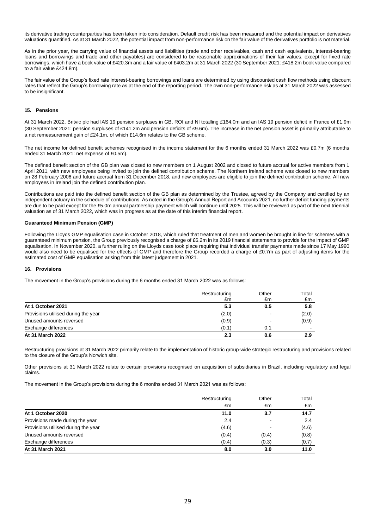its derivative trading counterparties has been taken into consideration. Default credit risk has been measured and the potential impact on derivatives valuations quantified. As at 31 March 2022, the potential impact from non-performance risk on the fair value of the derivatives portfolio is not material.

As in the prior year, the carrying value of financial assets and liabilities (trade and other receivables, cash and cash equivalents, interest-bearing loans and borrowings and trade and other payables) are considered to be reasonable approximations of their fair values, except for fixed rate borrowings, which have a book value of £420.3m and a fair value of £403.2m at 31 March 2022 (30 September 2021: £418.2m book value compared to a fair value £424.8m).

The fair value of the Group's fixed rate interest-bearing borrowings and loans are determined by using discounted cash flow methods using discount rates that reflect the Group's borrowing rate as at the end of the reporting period. The own non-performance risk as at 31 March 2022 was assessed to be insignificant.

### **15. Pensions**

At 31 March 2022, Britvic plc had IAS 19 pension surpluses in GB, ROI and NI totalling £164.0m and an IAS 19 pension deficit in France of £1.9m (30 September 2021: pension surpluses of £141.2m and pension deficits of £9.6m). The increase in the net pension asset is primarily attributable to a net remeasurement gain of £24.1m, of which £14.6m relates to the GB scheme.

The net income for defined benefit schemes recognised in the income statement for the 6 months ended 31 March 2022 was £0.7m (6 months ended 31 March 2021: net expense of £0.5m).

The defined benefit section of the GB plan was closed to new members on 1 August 2002 and closed to future accrual for active members from 1 April 2011, with new employees being invited to join the defined contribution scheme. The Northern Ireland scheme was closed to new members on 28 February 2006 and future accrual from 31 December 2018, and new employees are eligible to join the defined contribution scheme. All new employees in Ireland join the defined contribution plan.

Contributions are paid into the defined benefit section of the GB plan as determined by the Trustee, agreed by the Company and certified by an independent actuary in the schedule of contributions. As noted in the Group's Annual Report and Accounts 2021, no further deficit funding payments are due to be paid except for the £5.0m annual partnership payment which will continue until 2025. This will be reviewed as part of the next triennial valuation as of 31 March 2022, which was in progress as at the date of this interim financial report.

### **Guaranteed Minimum Pension (GMP)**

Following the Lloyds GMP equalisation case in October 2018, which ruled that treatment of men and women be brought in line for schemes with a guaranteed minimum pension, the Group previously recognised a charge of £6.2m in its 2019 financial statements to provide for the impact of GMP equalisation. In November 2020, a further ruling on the Lloyds case took place requiring that individual transfer payments made since 17 May 1990 would also need to be equalised for the effects of GMP and therefore the Group recorded a charge of £0.7m as part of adjusting items for the estimated cost of GMP equalisation arising from this latest judgement in 2021.

### **16. Provisions**

The movement in the Group's provisions during the 6 months ended 31 March 2022 was as follows:

|                                     | Restructuring | Other                    | Total |
|-------------------------------------|---------------|--------------------------|-------|
|                                     | £m            | £m                       | £m    |
| At 1 October 2021                   | 5.3           | 0.5                      | 5.8   |
| Provisions utilised during the year | (2.0)         | $\overline{\phantom{0}}$ | (2.0) |
| Unused amounts reversed             | (0.9)         |                          | (0.9) |
| Exchange differences                | (0.1)         | 0.1                      | $\,$  |
| At 31 March 2022                    | 2.3           | 0.6                      | 2.9   |

Restructuring provisions at 31 March 2022 primarily relate to the implementation of historic group-wide strategic restructuring and provisions related to the closure of the Group's Norwich site.

Other provisions at 31 March 2022 relate to certain provisions recognised on acquisition of subsidiaries in Brazil, including regulatory and legal claims.

The movement in the Group's provisions during the 6 months ended 31 March 2021 was as follows:

|                                     | Restructuring | Other | Total |
|-------------------------------------|---------------|-------|-------|
|                                     | £m            | £m    | £m    |
| At 1 October 2020                   | 11.0          | 3.7   | 14.7  |
| Provisions made during the year     | 2.4           |       | 2.4   |
| Provisions utilised during the year | (4.6)         |       | (4.6) |
| Unused amounts reversed             | (0.4)         | (0.4) | (0.8) |
| Exchange differences                | (0.4)         | (0.3) | (0.7) |
| At 31 March 2021                    | 8.0           | 3.0   | 11.0  |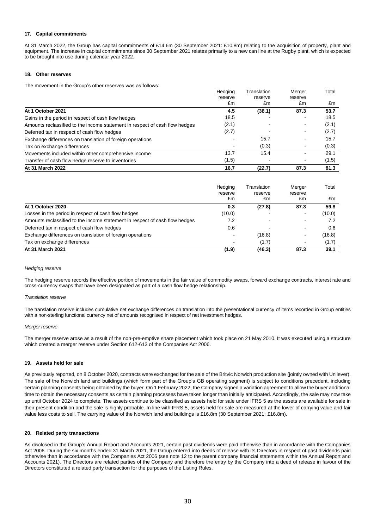### **17. Capital commitments**

At 31 March 2022, the Group has capital commitments of £14.6m (30 September 2021: £10.8m) relating to the acquisition of property, plant and equipment. The increase in capital commitments since 30 September 2021 relates primarily to a new can line at the Rugby plant, which is expected to be brought into use during calendar year 2022.

### **18. Other reserves**

The movement in the Group's other reserves was as follows:

|                                                                             | Hedging<br>reserve | Translation | Merger                   | Total |
|-----------------------------------------------------------------------------|--------------------|-------------|--------------------------|-------|
|                                                                             |                    | reserve     | reserve                  |       |
|                                                                             | £m                 | £m          | £m                       | £m    |
| At 1 October 2021                                                           | 4.5                | (38.1)      | 87.3                     | 53.7  |
| Gains in the period in respect of cash flow hedges                          | 18.5               |             | $\blacksquare$           | 18.5  |
| Amounts reclassified to the income statement in respect of cash flow hedges | (2.1)              |             | $\blacksquare$           | (2.1) |
| Deferred tax in respect of cash flow hedges                                 | (2.7)              |             | $\overline{\phantom{0}}$ | (2.7) |
| Exchange differences on translation of foreign operations                   |                    | 15.7        | $\blacksquare$           | 15.7  |
| Tax on exchange differences                                                 |                    | (0.3)       | $\blacksquare$           | (0.3) |
| Movements included within other comprehensive income                        | 13.7               | 15.4        |                          | 29.1  |
| Transfer of cash flow hedge reserve to inventories                          | (1.5)              |             | $\blacksquare$           | (1.5) |
| At 31 March 2022                                                            | 16.7               | (22.7)      | 87.3                     | 81.3  |

|                                                                             | Hedging<br>reserve | Translation<br>reserve | Merger<br>reserve        | Total  |
|-----------------------------------------------------------------------------|--------------------|------------------------|--------------------------|--------|
|                                                                             | £m                 | £m                     | £m                       | £m     |
| At 1 October 2020                                                           | 0.3                | (27.8)                 | 87.3                     | 59.8   |
| Losses in the period in respect of cash flow hedges                         | (10.0)             |                        |                          | (10.0) |
| Amounts reclassified to the income statement in respect of cash flow hedges | 7.2                |                        |                          | 7.2    |
| Deferred tax in respect of cash flow hedges                                 | 0.6                |                        |                          | 0.6    |
| Exchange differences on translation of foreign operations                   | $\,$               | (16.8)                 | $\overline{\phantom{a}}$ | (16.8) |
| Tax on exchange differences                                                 |                    | (1.7)                  |                          | (1.7)  |
| At 31 March 2021                                                            | (1.9)              | (46.3)                 | 87.3                     | 39.1   |

### *Hedging reserve*

The hedging reserve records the effective portion of movements in the fair value of commodity swaps, forward exchange contracts, interest rate and cross-currency swaps that have been designated as part of a cash flow hedge relationship.

### *Translation reserve*

The translation reserve includes cumulative net exchange differences on translation into the presentational currency of items recorded in Group entities with a non-sterling functional currency net of amounts recognised in respect of net investment hedges.

### *Merger reserve*

The merger reserve arose as a result of the non-pre-emptive share placement which took place on 21 May 2010. It was executed using a structure which created a merger reserve under Section 612-613 of the Companies Act 2006.

### **19. Assets held for sale**

As previously reported, on 8 October 2020, contracts were exchanged for the sale of the Britvic Norwich production site (jointly owned with Unilever). The sale of the Norwich land and buildings (which form part of the Group's GB operating segment) is subject to conditions precedent, including certain planning consents being obtained by the buyer. On 1 February 2022, the Company signed a variation agreement to allow the buyer additional time to obtain the necessary consents as certain planning processes have taken longer than initially anticipated. Accordingly, the sale may now take up until October 2024 to complete. The assets continue to be classified as assets held for sale under IFRS 5 as the assets are available for sale in their present condition and the sale is highly probable. In line with IFRS 5, assets held for sale are measured at the lower of carrying value and fair value less costs to sell. The carrying value of the Norwich land and buildings is £16.8m (30 September 2021: £16.8m).

### **20. Related party transactions**

As disclosed in the Group's Annual Report and Accounts 2021, certain past dividends were paid otherwise than in accordance with the Companies Act 2006. During the six months ended 31 March 2021, the Group entered into deeds of release with its Directors in respect of past dividends paid otherwise than in accordance with the Companies Act 2006 (see note 12 to the parent company financial statements within the Annual Report and Accounts 2021). The Directors are related parties of the Company and therefore the entry by the Company into a deed of release in favour of the Directors constituted a related party transaction for the purposes of the Listing Rules.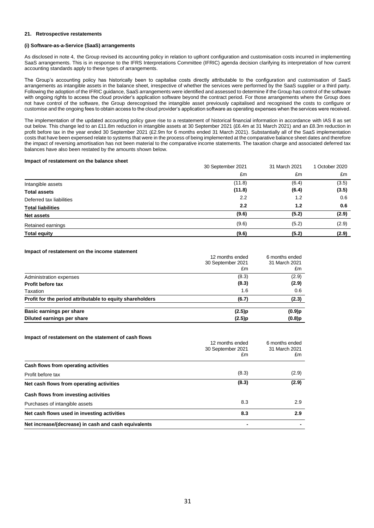### **21. Retrospective restatements**

### **(i) Software-as-a-Service (SaaS) arrangements**

As disclosed in note 4, the Group revised its accounting policy in relation to upfront configuration and customisation costs incurred in implementing SaaS arrangements. This is in response to the IFRS Interpretations Committee (IFRIC) agenda decision clarifying its interpretation of how current accounting standards apply to these types of arrangements.

The Group's accounting policy has historically been to capitalise costs directly attributable to the configuration and customisation of SaaS arrangements as intangible assets in the balance sheet, irrespective of whether the services were performed by the SaaS supplier or a third party. Following the adoption of the IFRIC guidance, SaaS arrangements were identified and assessed to determine if the Group has control of the software with ongoing rights to access the cloud provider's application software beyond the contract period. For those arrangements where the Group does not have control of the software, the Group derecognised the intangible asset previously capitalised and recognised the costs to configure or customise and the ongoing fees to obtain access to the cloud provider's application software as operating expenses when the services were received.

The implementation of the updated accounting policy gave rise to a restatement of historical financial information in accordance with IAS 8 as set out below. This change led to an £11.8m reduction in intangible assets at 30 September 2021 (£6.4m at 31 March 2021) and an £8.3m reduction in profit before tax in the year ended 30 September 2021 (£2.9m for 6 months ended 31 March 2021). Substantially all of the SaaS implementation costs that have been expensed relate to systems that were in the process of being implemented at the comparative balance sheet dates and therefore the impact of reversing amortisation has not been material to the comparative income statements. The taxation charge and associated deferred tax balances have also been restated by the amounts shown below.

### **Impact of restatement on the balance sheet**

|                          | 30 September 2021 | 31 March 2021 | 1 October 2020 |
|--------------------------|-------------------|---------------|----------------|
|                          | £m                | £m            | £m             |
| Intangible assets        | (11.8)            | (6.4)         | (3.5)          |
| <b>Total assets</b>      | (11.8)            | (6.4)         | (3.5)          |
| Deferred tax liabilities | 2.2               | 1.2           | 0.6            |
| <b>Total liabilities</b> | 2.2               | 1.2           | 0.6            |
| Net assets               | (9.6)             | (5.2)         | (2.9)          |
| Retained earnings        | (9.6)             | (5.2)         | (2.9)          |
| <b>Total equity</b>      | (9.6)             | (5.2)         | (2.9)          |

### **Impact of restatement on the income statement**

|                                                           | 12 months ended<br>30 September 2021 | 6 months ended<br>31 March 2021 |
|-----------------------------------------------------------|--------------------------------------|---------------------------------|
|                                                           | £m                                   | £m                              |
| Administration expenses                                   | (8.3)                                | (2.9)                           |
| <b>Profit before tax</b>                                  | (8.3)                                | (2.9)                           |
| Taxation                                                  | 1.6                                  | 0.6                             |
| Profit for the period attributable to equity shareholders | (6.7)                                | (2.3)                           |
| Basic earnings per share                                  | (2.5)p                               | $(0.9)$ p                       |
| Diluted earnings per share                                | (2.5)p                               | $(0.8)$ p                       |

#### **Impact of restatement on the statement of cash flows**

|                                                      | 12 months ended<br>30 September 2021<br>£m | 6 months ended<br>31 March 2021<br>£m |
|------------------------------------------------------|--------------------------------------------|---------------------------------------|
| Cash flows from operating activities                 |                                            |                                       |
| Profit before tax                                    | (8.3)                                      | (2.9)                                 |
| Net cash flows from operating activities             | (8.3)                                      | (2.9)                                 |
| Cash flows from investing activities                 |                                            |                                       |
| Purchases of intangible assets                       | 8.3                                        | 2.9                                   |
| Net cash flows used in investing activities          | 8.3                                        | 2.9                                   |
| Net increase/(decrease) in cash and cash equivalents | ٠                                          |                                       |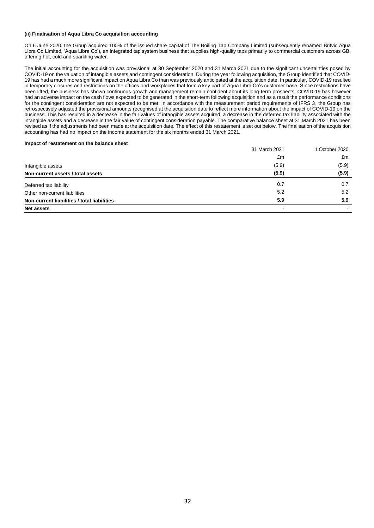### **(ii) Finalisation of Aqua Libra Co acquisition accounting**

On 6 June 2020, the Group acquired 100% of the issued share capital of The Boiling Tap Company Limited (subsequently renamed Britvic Aqua Libra Co Limited, 'Aqua Libra Co'), an integrated tap system business that supplies high-quality taps primarily to commercial customers across GB, offering hot, cold and sparkling water.

The initial accounting for the acquisition was provisional at 30 September 2020 and 31 March 2021 due to the significant uncertainties posed by COVID-19 on the valuation of intangible assets and contingent consideration. During the year following acquisition, the Group identified that COVID-19 has had a much more significant impact on Aqua Libra Co than was previously anticipated at the acquisition date. In particular, COVID-19 resulted in temporary closures and restrictions on the offices and workplaces that form a key part of Aqua Libra Co's customer base. Since restrictions have been lifted, the business has shown continuous growth and management remain confident about its long-term prospects. COVID-19 has however had an adverse impact on the cash flows expected to be generated in the short-term following acquisition and as a result the performance conditions for the contingent consideration are not expected to be met. In accordance with the measurement period requirements of IFRS 3, the Group has retrospectively adjusted the provisional amounts recognised at the acquisition date to reflect more information about the impact of COVID-19 on the business. This has resulted in a decrease in the fair values of intangible assets acquired, a decrease in the deferred tax liability associated with the intangible assets and a decrease in the fair value of contingent consideration payable. The comparative balance sheet at 31 March 2021 has been revised as if the adjustments had been made at the acquisition date. The effect of this restatement is set out below. The finalisation of the acquisition accounting has had no impact on the income statement for the six months ended 31 March 2021.

### **Impact of restatement on the balance sheet**

|                                             | 31 March 2021 | 1 October 2020 |
|---------------------------------------------|---------------|----------------|
|                                             | £m            | £m             |
| Intangible assets                           | (5.9)         | (5.9)          |
| Non-current assets / total assets           | (5.9)         | (5.9)          |
| Deferred tax liability                      | 0.7           | 0.7            |
| Other non-current liabilities               | 5.2           | 5.2            |
| Non-current liabilities / total liabilities | 5.9           | 5.9            |
| <b>Net assets</b>                           | -             |                |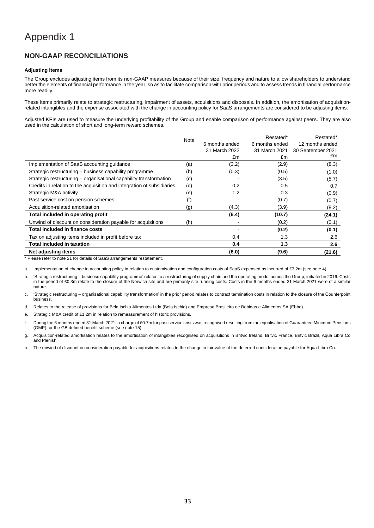## **NON-GAAP RECONCILIATIONS**

### **Adjusting items**

The Group excludes adjusting items from its non-GAAP measures because of their size, frequency and nature to allow shareholders to understand better the elements of financial performance in the year, so as to facilitate comparison with prior periods and to assess trends in financial performance more readily.

These items primarily relate to strategic restructuring, impairment of assets, acquisitions and disposals. In addition, the amortisation of acquisitionrelated intangibles and the expense associated with the change in accounting policy for SaaS arrangements are considered to be adjusting items.

Adjusted KPIs are used to measure the underlying profitability of the Group and enable comparison of performance against peers. They are also used in the calculation of short and long-term reward schemes.

|                                                                        | Note |                | Restated*      | Restated*         |
|------------------------------------------------------------------------|------|----------------|----------------|-------------------|
|                                                                        |      | 6 months ended | 6 months ended | 12 months ended   |
|                                                                        |      | 31 March 2022  | 31 March 2021  | 30 September 2021 |
|                                                                        |      | £m             | £m             | £m                |
| Implementation of SaaS accounting guidance                             | (a)  | (3.2)          | (2.9)          | (8.3)             |
| Strategic restructuring - business capability programme                | (b)  | (0.3)          | (0.5)          | (1.0)             |
| Strategic restructuring – organisational capability transformation     | (c)  |                | (3.5)          | (5.7)             |
| Credits in relation to the acquisition and integration of subsidiaries | (d)  | 0.2            | 0.5            | 0.7               |
| Strategic M&A activity                                                 | (e)  | 1.2            | 0.3            | (0.9)             |
| Past service cost on pension schemes                                   | (f)  |                | (0.7)          | (0.7)             |
| Acquisition-related amortisation                                       | (g)  | (4.3)          | (3.9)          | (8.2)             |
| Total included in operating profit                                     |      | (6.4)          | (10.7)         | (24.1)            |
| Unwind of discount on consideration payable for acquisitions           | (h)  |                | (0.2)          | (0.1)             |
| <b>Total included in finance costs</b>                                 |      |                | (0.2)          | (0.1)             |
| Tax on adjusting items included in profit before tax                   |      | 0.4            | 1.3            | 2.6               |
| <b>Total included in taxation</b>                                      |      | 0.4            | 1.3            | 2.6               |
| Net adjusting items                                                    |      | (6.0)          | (9.6)          | (21.6)            |

\* Please refer to note 21 for details of SaaS arrangements restatement.

a. Implementation of change in accounting policy in relation to customisation and configuration costs of SaaS expensed as incurred of £3.2m (see note 4).

b. 'Strategic restructuring – business capability programme' relates to a restructuring of supply chain and the operating model across the Group, initiated in 2016. Costs in the period of £0.3m relate to the closure of the Norwich site and are primarily site running costs. Costs in the 6 months ended 31 March 2021 were of a similar nature.

c. 'Strategic restructuring – organisational capability transformation' in the prior period relates to contract termination costs in relation to the closure of the Counterpoint business.

d. Relates to the release of provisions for Bela Ischia Alimentos Ltda (Bela Ischia) and Empresa Brasileira de Bebidas e Alimentos SA (Ebba).

e. Strategic M&A credit of £1.2m in relation to remeasurement of historic provisions.

f. During the 6 months ended 31 March 2021, a charge of £0.7m for past service costs was recognised resulting from the equalisation of Guaranteed Minimum Pensions (GMP) for the GB defined benefit scheme (see note 15).

g. Acquisition-related amortisation relates to the amortisation of intangibles recognised on acquisitions in Britvic Ireland, Britvic France, Britvic Brazil, Aqua Libra Co and Plenish.

h. The unwind of discount on consideration payable for acquisitions relates to the change in fair value of the deferred consideration payable for Aqua Libra Co.